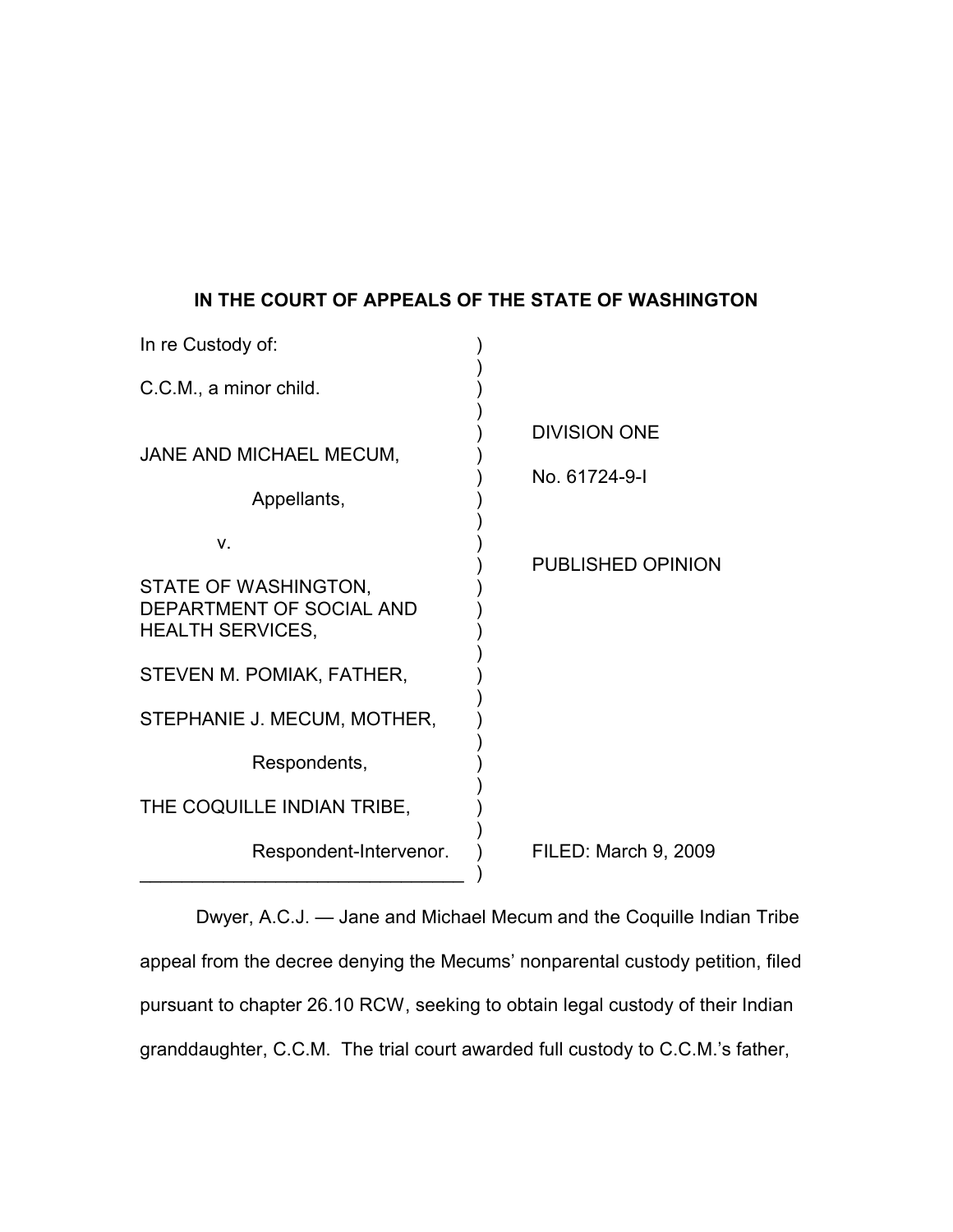## **IN THE COURT OF APPEALS OF THE STATE OF WASHINGTON**

| In re Custody of:                                                           |                                      |
|-----------------------------------------------------------------------------|--------------------------------------|
| C.C.M., a minor child.                                                      |                                      |
| JANE AND MICHAEL MECUM,<br>Appellants,                                      | <b>DIVISION ONE</b><br>No. 61724-9-1 |
| V.                                                                          | <b>PUBLISHED OPINION</b>             |
| STATE OF WASHINGTON,<br>DEPARTMENT OF SOCIAL AND<br><b>HEALTH SERVICES,</b> |                                      |
| STEVEN M. POMIAK, FATHER,                                                   |                                      |
| STEPHANIE J. MECUM, MOTHER,                                                 |                                      |
| Respondents,                                                                |                                      |
| THE COQUILLE INDIAN TRIBE,                                                  |                                      |
| Respondent-Intervenor.                                                      | FILED: March 9, 2009                 |

Dwyer, A.C.J. — Jane and Michael Mecum and the Coquille Indian Tribe appeal from the decree denying the Mecums' nonparental custody petition, filed pursuant to chapter 26.10 RCW, seeking to obtain legal custody of their Indian granddaughter, C.C.M. The trial court awarded full custody to C.C.M.'s father,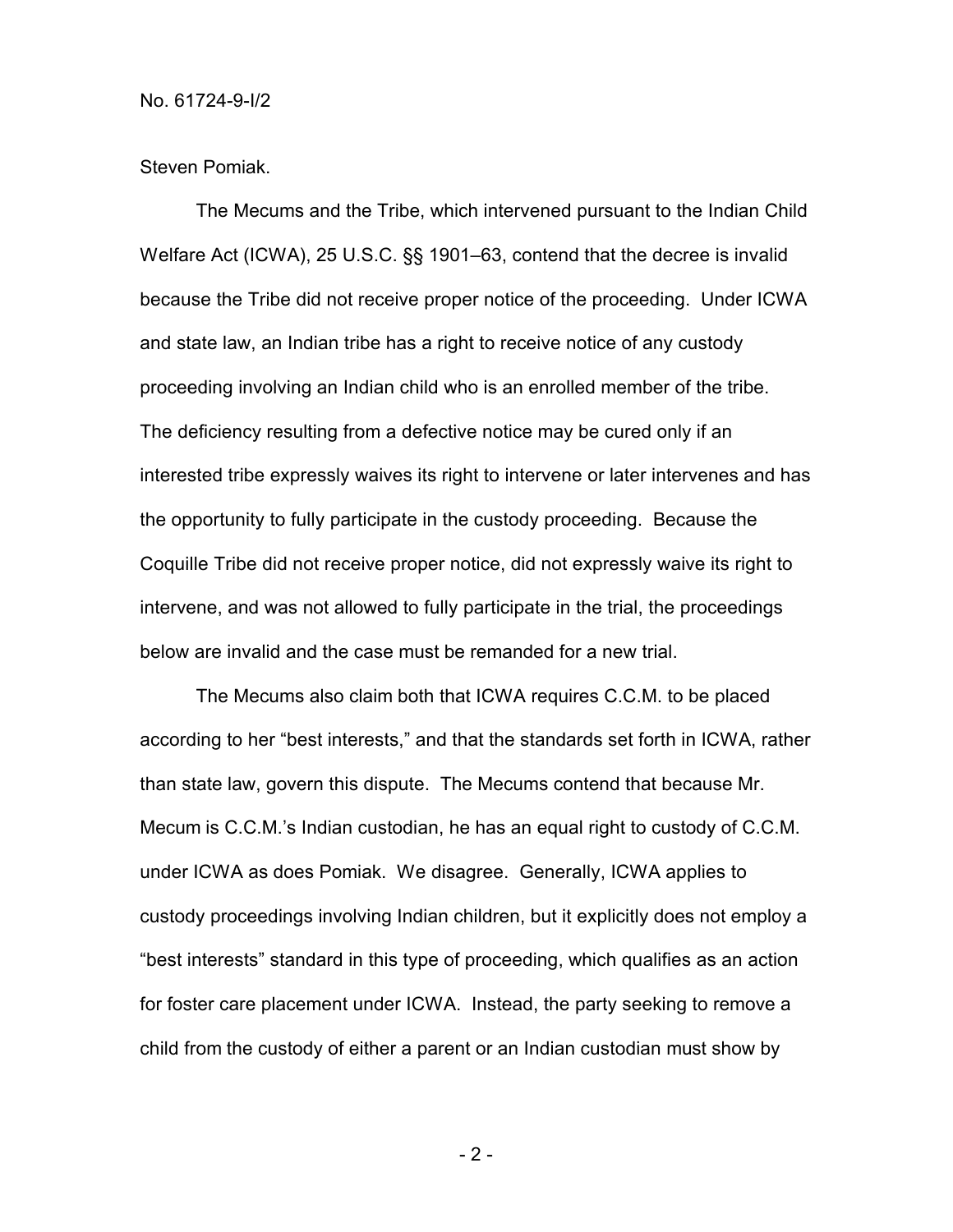Steven Pomiak.

The Mecums and the Tribe, which intervened pursuant to the Indian Child Welfare Act (ICWA), 25 U.S.C. §§ 1901–63, contend that the decree is invalid because the Tribe did not receive proper notice of the proceeding. Under ICWA and state law, an Indian tribe has a right to receive notice of any custody proceeding involving an Indian child who is an enrolled member of the tribe. The deficiency resulting from a defective notice may be cured only if an interested tribe expressly waives its right to intervene or later intervenes and has the opportunity to fully participate in the custody proceeding. Because the Coquille Tribe did not receive proper notice, did not expressly waive its right to intervene, and was not allowed to fully participate in the trial, the proceedings below are invalid and the case must be remanded for a new trial.

The Mecums also claim both that ICWA requires C.C.M. to be placed according to her "best interests," and that the standards set forth in ICWA, rather than state law, govern this dispute. The Mecums contend that because Mr. Mecum is C.C.M.'s Indian custodian, he has an equal right to custody of C.C.M. under ICWA as does Pomiak. We disagree. Generally, ICWA applies to custody proceedings involving Indian children, but it explicitly does not employ a "best interests" standard in this type of proceeding, which qualifies as an action for foster care placement under ICWA. Instead, the party seeking to remove a child from the custody of either a parent or an Indian custodian must show by

- 2 -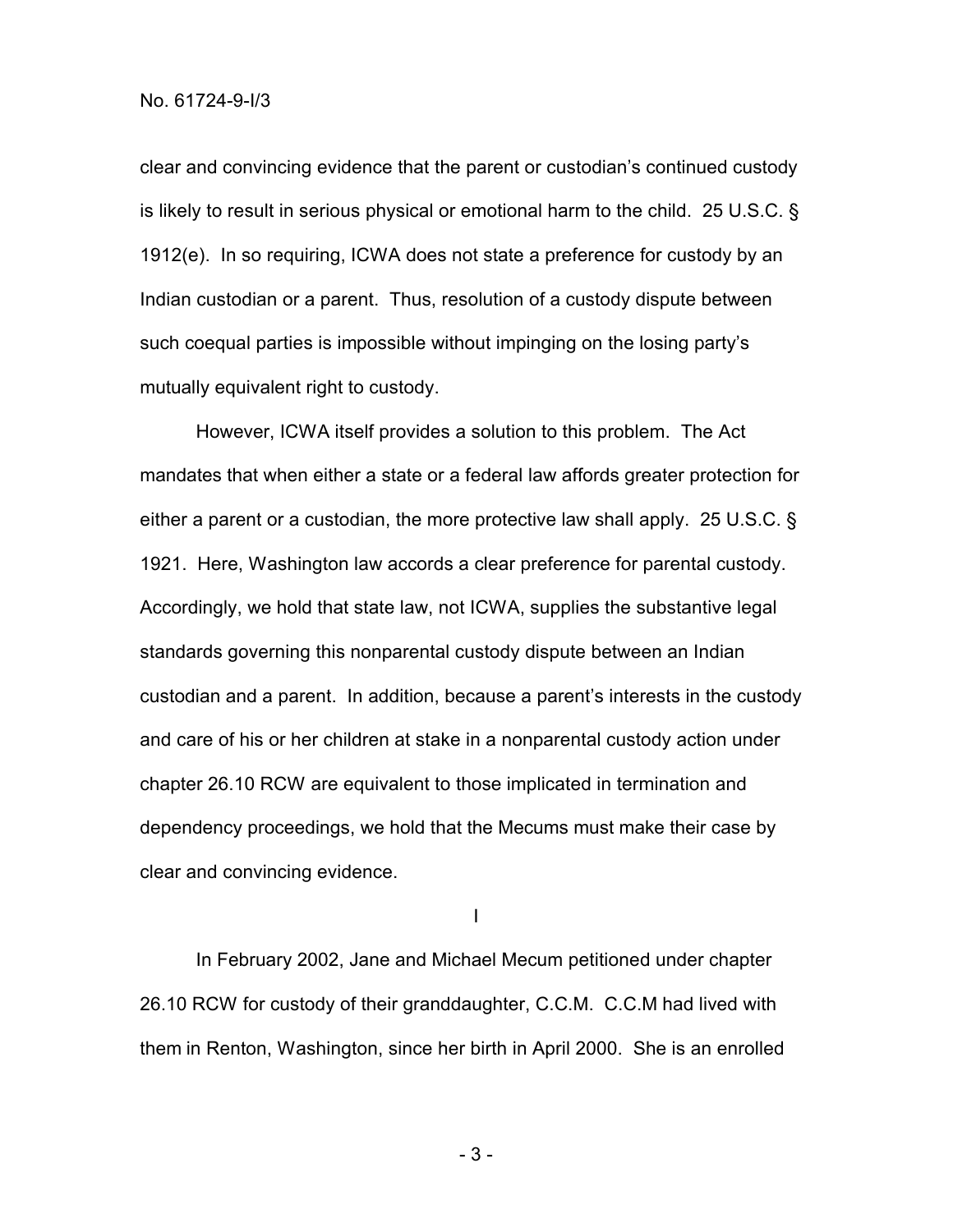clear and convincing evidence that the parent or custodian's continued custody is likely to result in serious physical or emotional harm to the child. 25 U.S.C. § 1912(e). In so requiring, ICWA does not state a preference for custody by an Indian custodian or a parent. Thus, resolution of a custody dispute between such coequal parties is impossible without impinging on the losing party's mutually equivalent right to custody.

However, ICWA itself provides a solution to this problem. The Act mandates that when either a state or a federal law affords greater protection for either a parent or a custodian, the more protective law shall apply. 25 U.S.C. § 1921. Here, Washington law accords a clear preference for parental custody. Accordingly, we hold that state law, not ICWA, supplies the substantive legal standards governing this nonparental custody dispute between an Indian custodian and a parent. In addition, because a parent's interests in the custody and care of his or her children at stake in a nonparental custody action under chapter 26.10 RCW are equivalent to those implicated in termination and dependency proceedings, we hold that the Mecums must make their case by clear and convincing evidence.

I

In February 2002, Jane and Michael Mecum petitioned under chapter 26.10 RCW for custody of their granddaughter, C.C.M. C.C.M had lived with them in Renton, Washington, since her birth in April 2000. She is an enrolled

- 3 -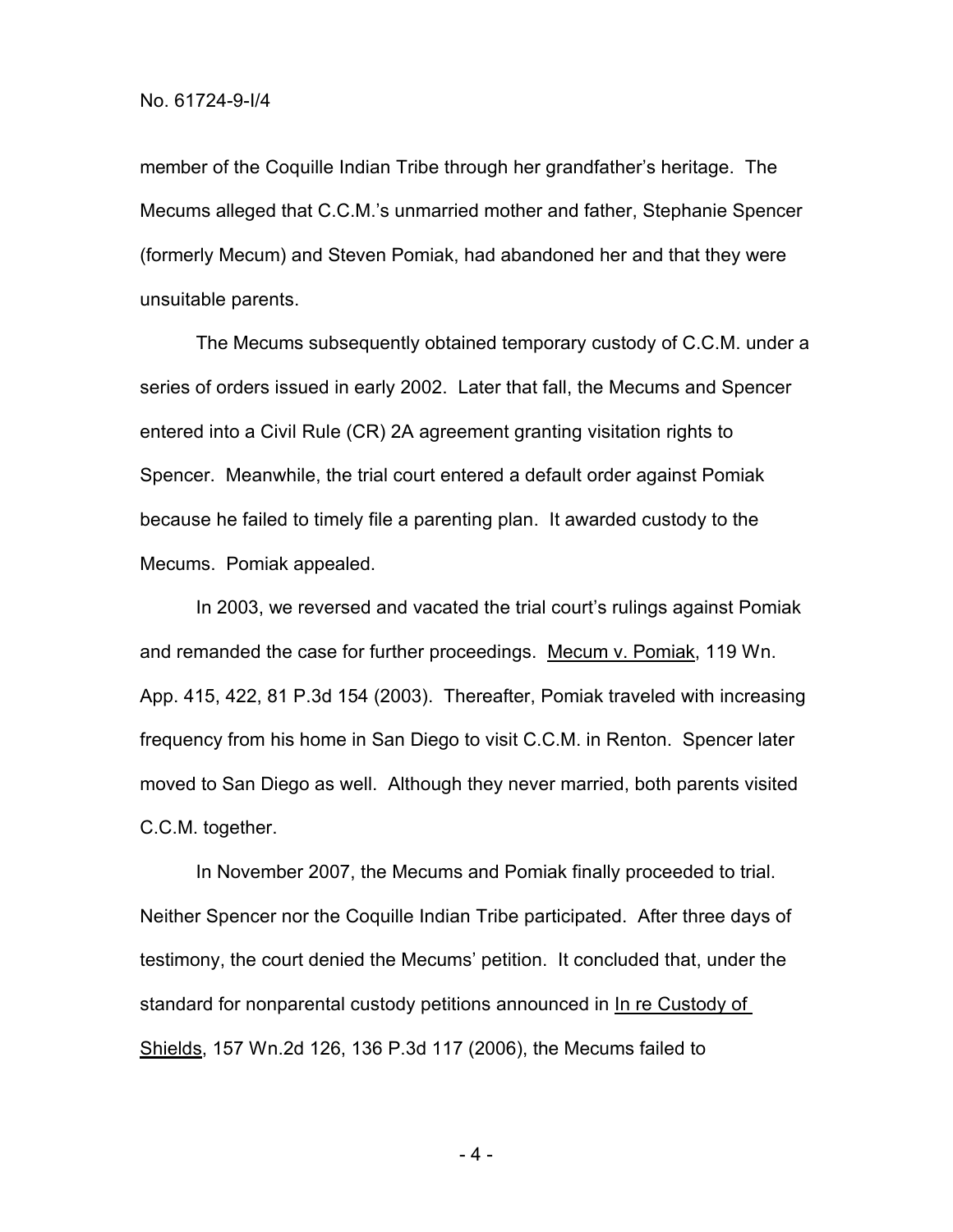member of the Coquille Indian Tribe through her grandfather's heritage. The Mecums alleged that C.C.M.'s unmarried mother and father, Stephanie Spencer (formerly Mecum) and Steven Pomiak, had abandoned her and that they were unsuitable parents.

The Mecums subsequently obtained temporary custody of C.C.M. under a series of orders issued in early 2002. Later that fall, the Mecums and Spencer entered into a Civil Rule (CR) 2A agreement granting visitation rights to Spencer. Meanwhile, the trial court entered a default order against Pomiak because he failed to timely file a parenting plan. It awarded custody to the Mecums. Pomiak appealed.

In 2003, we reversed and vacated the trial court's rulings against Pomiak and remanded the case for further proceedings. Mecum v. Pomiak, 119 Wn. App. 415, 422, 81 P.3d 154 (2003). Thereafter, Pomiak traveled with increasing frequency from his home in San Diego to visit C.C.M. in Renton. Spencer later moved to San Diego as well. Although they never married, both parents visited C.C.M. together.

In November 2007, the Mecums and Pomiak finally proceeded to trial. Neither Spencer nor the Coquille Indian Tribe participated. After three days of testimony, the court denied the Mecums' petition. It concluded that, under the standard for nonparental custody petitions announced in In re Custody of Shields, 157 Wn.2d 126, 136 P.3d 117 (2006), the Mecums failed to

- 4 -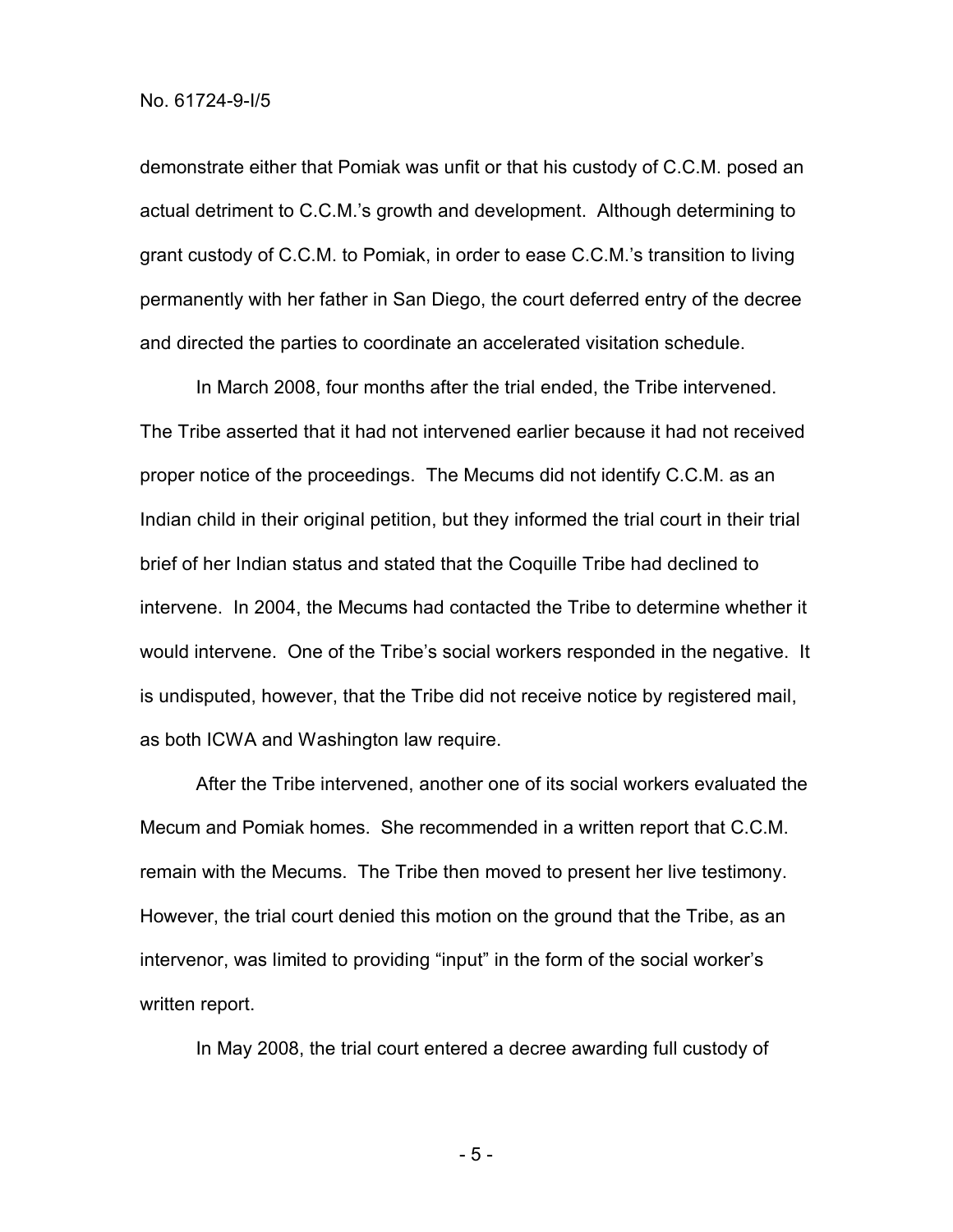demonstrate either that Pomiak was unfit or that his custody of C.C.M. posed an actual detriment to C.C.M.'s growth and development. Although determining to grant custody of C.C.M. to Pomiak, in order to ease C.C.M.'s transition to living permanently with her father in San Diego, the court deferred entry of the decree and directed the parties to coordinate an accelerated visitation schedule.

In March 2008, four months after the trial ended, the Tribe intervened. The Tribe asserted that it had not intervened earlier because it had not received proper notice of the proceedings. The Mecums did not identify C.C.M. as an Indian child in their original petition, but they informed the trial court in their trial brief of her Indian status and stated that the Coquille Tribe had declined to intervene. In 2004, the Mecums had contacted the Tribe to determine whether it would intervene. One of the Tribe's social workers responded in the negative. It is undisputed, however, that the Tribe did not receive notice by registered mail, as both ICWA and Washington law require.

After the Tribe intervened, another one of its social workers evaluated the Mecum and Pomiak homes. She recommended in a written report that C.C.M. remain with the Mecums. The Tribe then moved to present her live testimony. However, the trial court denied this motion on the ground that the Tribe, as an intervenor, was limited to providing "input" in the form of the social worker's written report.

In May 2008, the trial court entered a decree awarding full custody of

- 5 -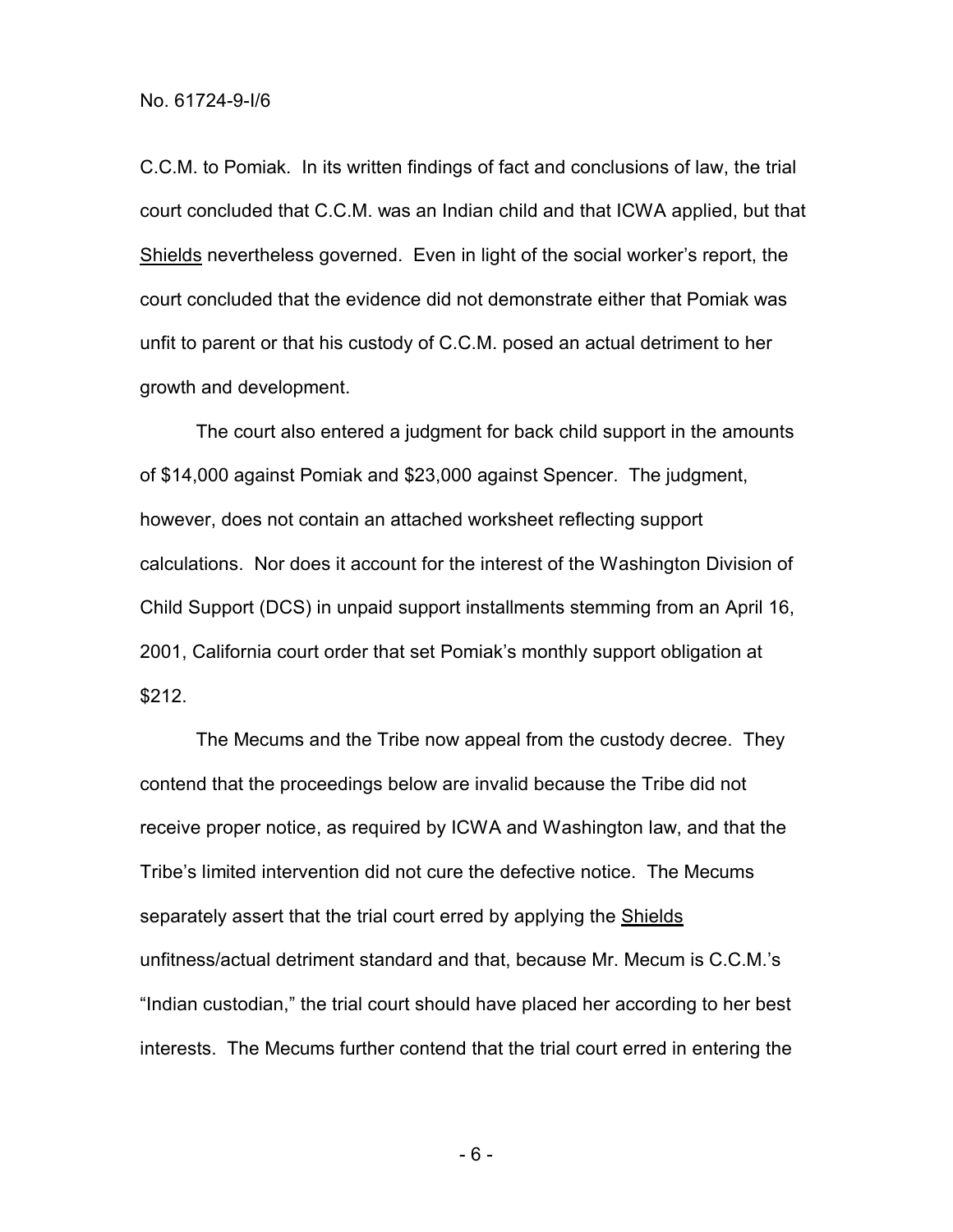C.C.M. to Pomiak. In its written findings of fact and conclusions of law, the trial court concluded that C.C.M. was an Indian child and that ICWA applied, but that Shields nevertheless governed. Even in light of the social worker's report, the court concluded that the evidence did not demonstrate either that Pomiak was unfit to parent or that his custody of C.C.M. posed an actual detriment to her growth and development.

The court also entered a judgment for back child support in the amounts of \$14,000 against Pomiak and \$23,000 against Spencer. The judgment, however, does not contain an attached worksheet reflecting support calculations. Nor does it account for the interest of the Washington Division of Child Support (DCS) in unpaid support installments stemming from an April 16, 2001, California court order that set Pomiak's monthly support obligation at \$212.

The Mecums and the Tribe now appeal from the custody decree. They contend that the proceedings below are invalid because the Tribe did not receive proper notice, as required by ICWA and Washington law, and that the Tribe's limited intervention did not cure the defective notice. The Mecums separately assert that the trial court erred by applying the Shields unfitness/actual detriment standard and that, because Mr. Mecum is C.C.M.'s "Indian custodian," the trial court should have placed her according to her best interests. The Mecums further contend that the trial court erred in entering the

- 6 -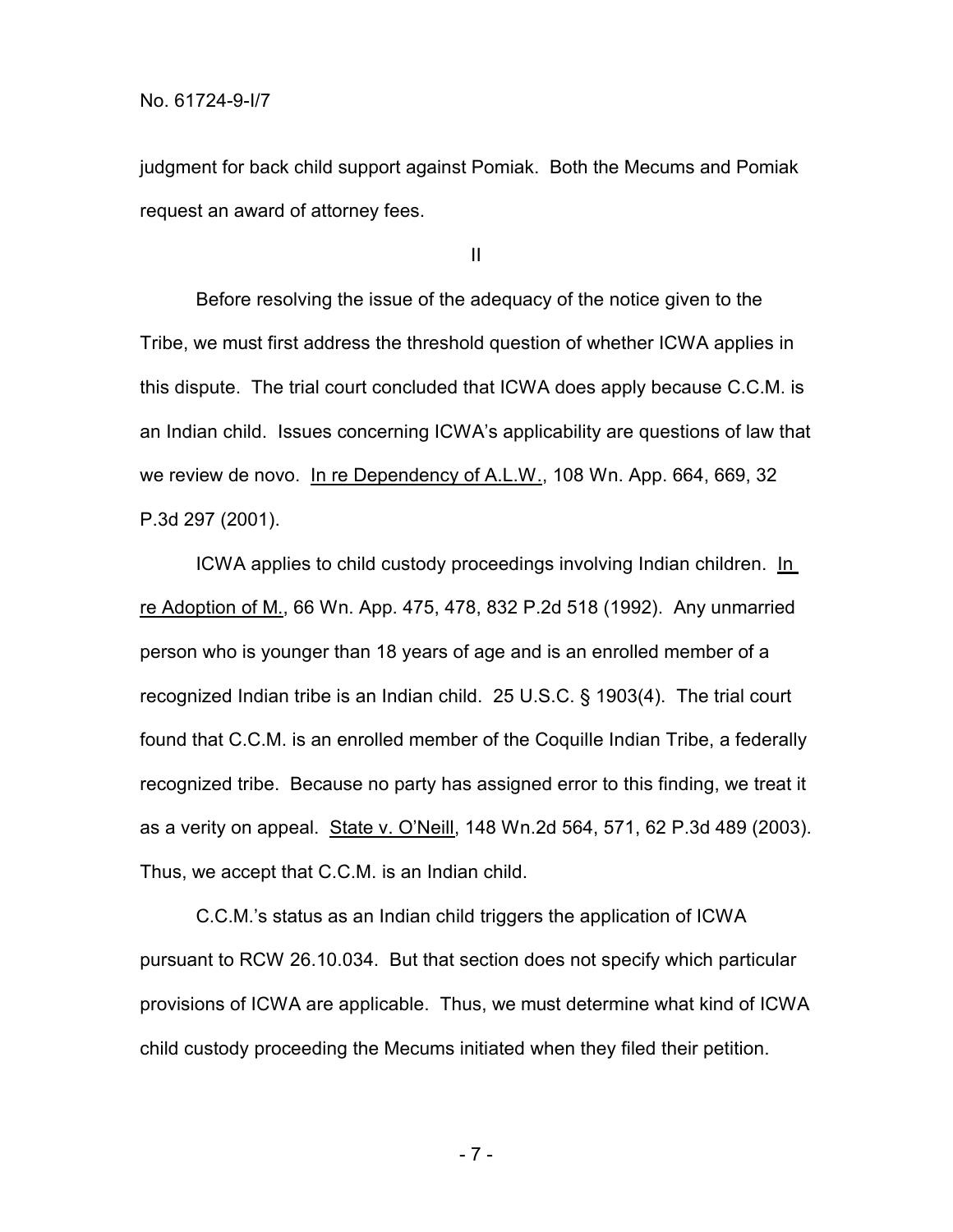judgment for back child support against Pomiak. Both the Mecums and Pomiak request an award of attorney fees.

II

Before resolving the issue of the adequacy of the notice given to the Tribe, we must first address the threshold question of whether ICWA applies in this dispute. The trial court concluded that ICWA does apply because C.C.M. is an Indian child. Issues concerning ICWA's applicability are questions of law that we review de novo. In re Dependency of A.L.W., 108 Wn. App. 664, 669, 32 P.3d 297 (2001).

ICWA applies to child custody proceedings involving Indian children. In re Adoption of M., 66 Wn. App. 475, 478, 832 P.2d 518 (1992). Any unmarried person who is younger than 18 years of age and is an enrolled member of a recognized Indian tribe is an Indian child. 25 U.S.C. § 1903(4). The trial court found that C.C.M. is an enrolled member of the Coquille Indian Tribe, a federally recognized tribe. Because no party has assigned error to this finding, we treat it as a verity on appeal. State v. O'Neill, 148 Wn.2d 564, 571, 62 P.3d 489 (2003). Thus, we accept that C.C.M. is an Indian child.

C.C.M.'s status as an Indian child triggers the application of ICWA pursuant to RCW 26.10.034. But that section does not specify which particular provisions of ICWA are applicable. Thus, we must determine what kind of ICWA child custody proceeding the Mecums initiated when they filed their petition.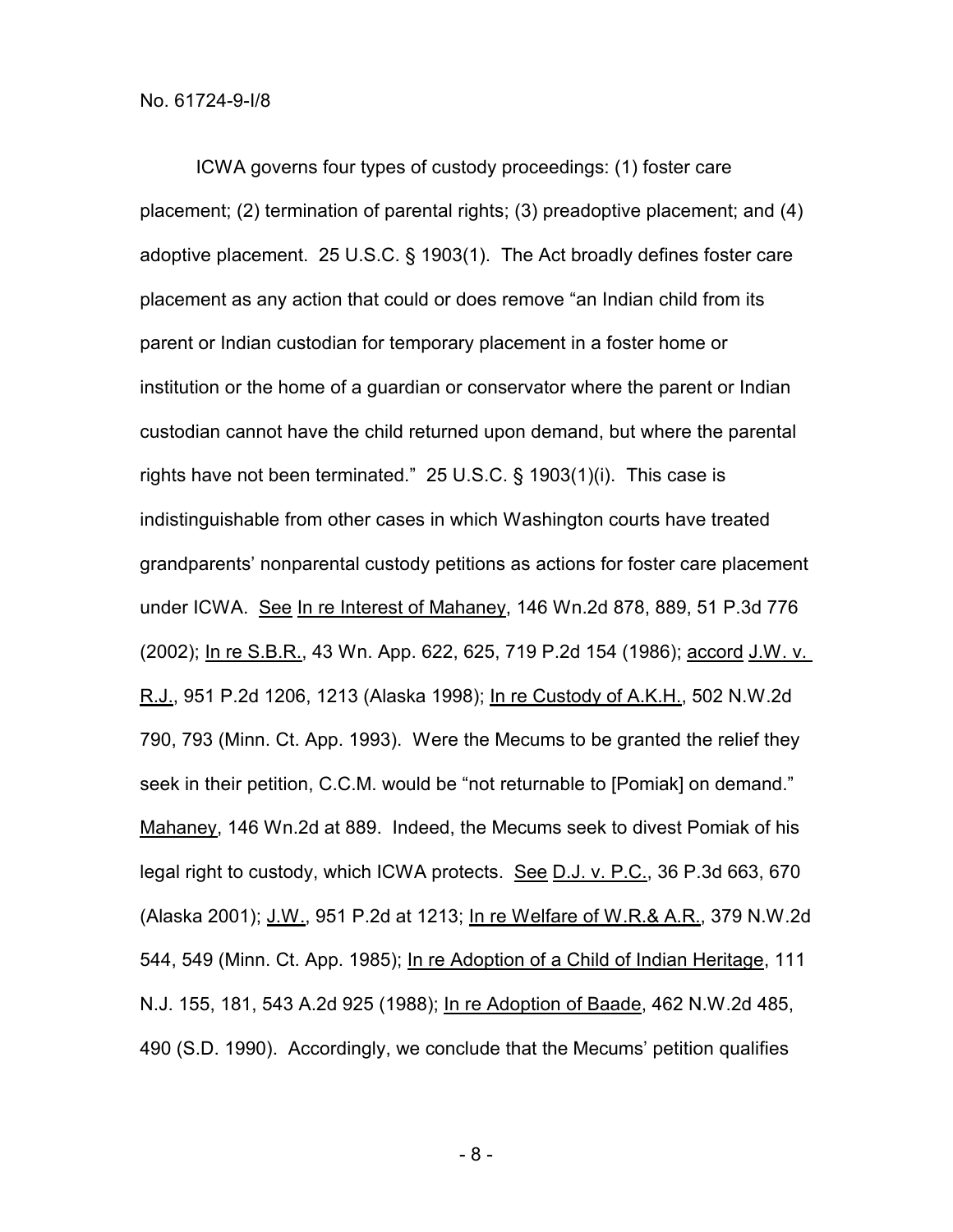ICWA governs four types of custody proceedings: (1) foster care placement; (2) termination of parental rights; (3) preadoptive placement; and (4) adoptive placement. 25 U.S.C. § 1903(1). The Act broadly defines foster care placement as any action that could or does remove "an Indian child from its parent or Indian custodian for temporary placement in a foster home or institution or the home of a guardian or conservator where the parent or Indian custodian cannot have the child returned upon demand, but where the parental rights have not been terminated." 25 U.S.C. § 1903(1)(i). This case is indistinguishable from other cases in which Washington courts have treated grandparents' nonparental custody petitions as actions for foster care placement under ICWA. See In re Interest of Mahaney, 146 Wn.2d 878, 889, 51 P.3d 776 (2002); In re S.B.R., 43 Wn. App. 622, 625, 719 P.2d 154 (1986); accord J.W. v. R.J., 951 P.2d 1206, 1213 (Alaska 1998); In re Custody of A.K.H., 502 N.W.2d 790, 793 (Minn. Ct. App. 1993). Were the Mecums to be granted the relief they seek in their petition, C.C.M. would be "not returnable to [Pomiak] on demand." Mahaney, 146 Wn.2d at 889. Indeed, the Mecums seek to divest Pomiak of his legal right to custody, which ICWA protects. See D.J. v. P.C., 36 P.3d 663, 670 (Alaska 2001); J.W., 951 P.2d at 1213; In re Welfare of W.R.& A.R., 379 N.W.2d 544, 549 (Minn. Ct. App. 1985); In re Adoption of a Child of Indian Heritage, 111 N.J. 155, 181, 543 A.2d 925 (1988); In re Adoption of Baade, 462 N.W.2d 485, 490 (S.D. 1990). Accordingly, we conclude that the Mecums' petition qualifies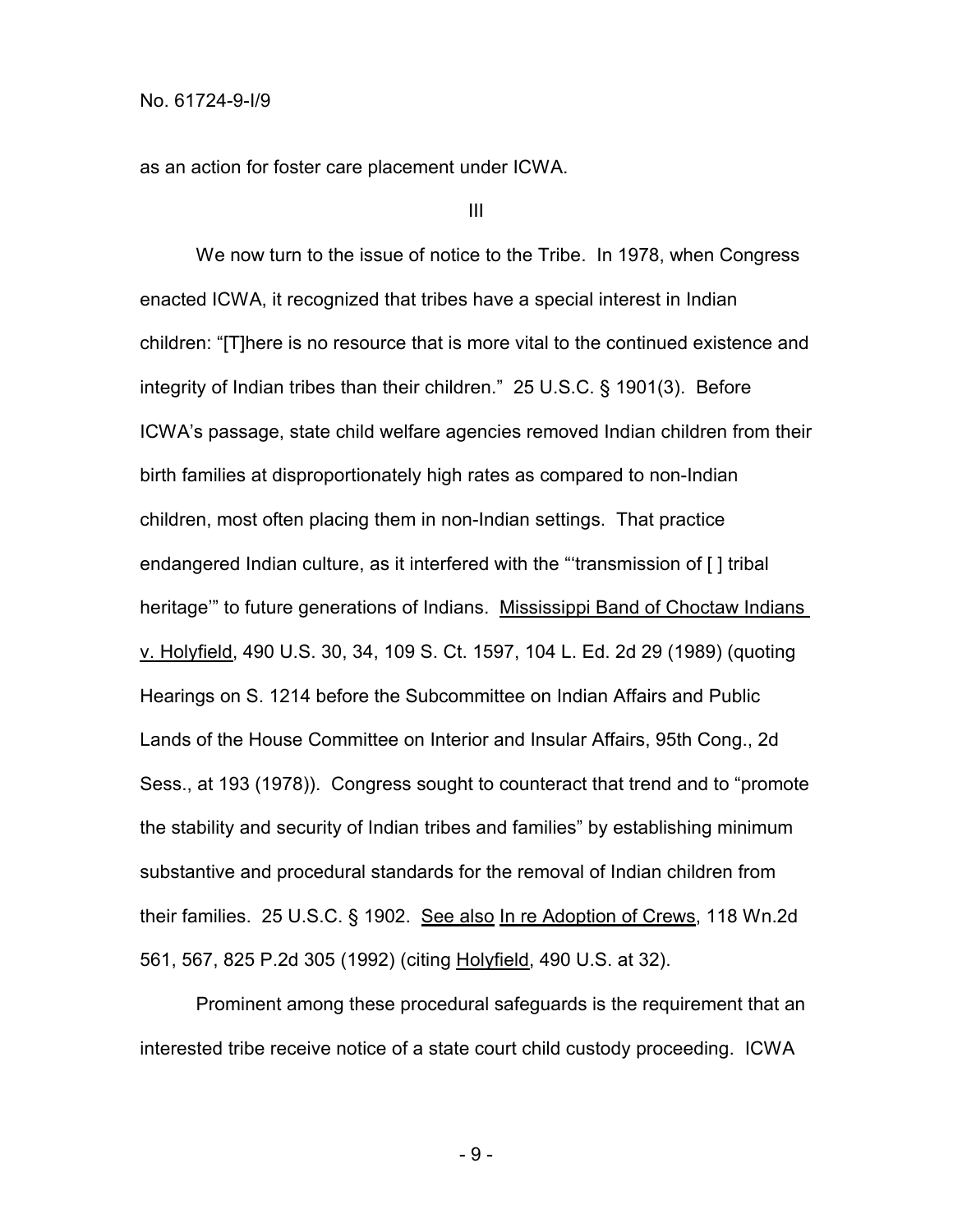as an action for foster care placement under ICWA.

III

We now turn to the issue of notice to the Tribe. In 1978, when Congress enacted ICWA, it recognized that tribes have a special interest in Indian children: "[T]here is no resource that is more vital to the continued existence and integrity of Indian tribes than their children." 25 U.S.C. § 1901(3). Before ICWA's passage, state child welfare agencies removed Indian children from their birth families at disproportionately high rates as compared to non-Indian children, most often placing them in non-Indian settings. That practice endangered Indian culture, as it interfered with the "'transmission of [ ] tribal heritage'" to future generations of Indians. Mississippi Band of Choctaw Indians v. Holyfield, 490 U.S. 30, 34, 109 S. Ct. 1597, 104 L. Ed. 2d 29 (1989) (quoting Hearings on S. 1214 before the Subcommittee on Indian Affairs and Public Lands of the House Committee on Interior and Insular Affairs, 95th Cong., 2d Sess., at 193 (1978)). Congress sought to counteract that trend and to "promote the stability and security of Indian tribes and families" by establishing minimum substantive and procedural standards for the removal of Indian children from their families. 25 U.S.C. § 1902. See also In re Adoption of Crews, 118 Wn.2d 561, 567, 825 P.2d 305 (1992) (citing Holyfield, 490 U.S. at 32).

Prominent among these procedural safeguards is the requirement that an interested tribe receive notice of a state court child custody proceeding. ICWA

- 9 -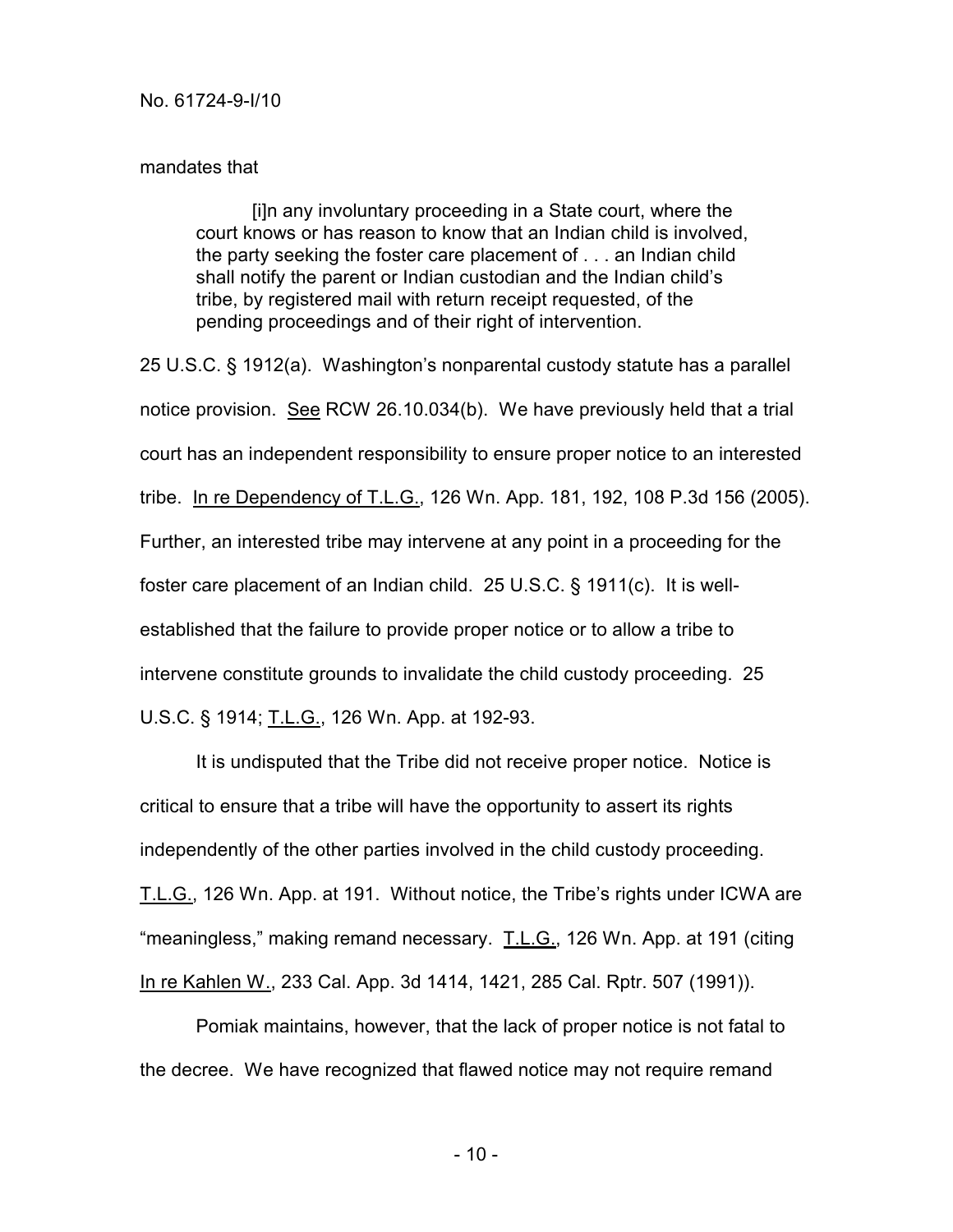## mandates that

[i]n any involuntary proceeding in a State court, where the court knows or has reason to know that an Indian child is involved, the party seeking the foster care placement of . . . an Indian child shall notify the parent or Indian custodian and the Indian child's tribe, by registered mail with return receipt requested, of the pending proceedings and of their right of intervention.

25 U.S.C. § 1912(a). Washington's nonparental custody statute has a parallel notice provision. See RCW 26.10.034(b). We have previously held that a trial court has an independent responsibility to ensure proper notice to an interested tribe. In re Dependency of T.L.G., 126 Wn. App. 181, 192, 108 P.3d 156 (2005). Further, an interested tribe may intervene at any point in a proceeding for the foster care placement of an Indian child. 25 U.S.C. § 1911(c). It is wellestablished that the failure to provide proper notice or to allow a tribe to intervene constitute grounds to invalidate the child custody proceeding. 25 U.S.C. § 1914; T.L.G., 126 Wn. App. at 192-93.

It is undisputed that the Tribe did not receive proper notice. Notice is critical to ensure that a tribe will have the opportunity to assert its rights independently of the other parties involved in the child custody proceeding. T.L.G., 126 Wn. App. at 191. Without notice, the Tribe's rights under ICWA are "meaningless," making remand necessary. T.L.G., 126 Wn. App. at 191 (citing In re Kahlen W., 233 Cal. App. 3d 1414, 1421, 285 Cal. Rptr. 507 (1991)).

Pomiak maintains, however, that the lack of proper notice is not fatal to the decree. We have recognized that flawed notice may not require remand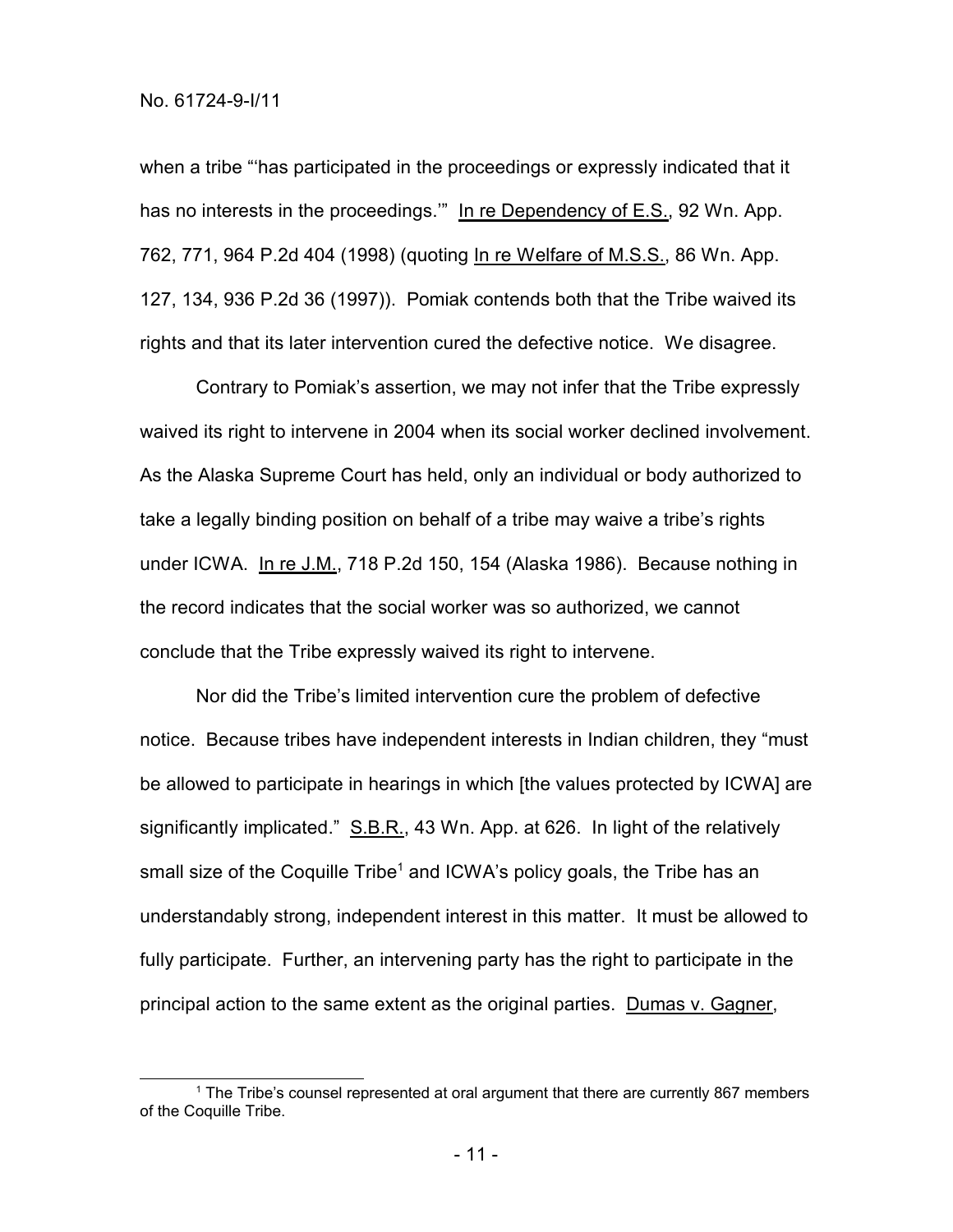when a tribe "'has participated in the proceedings or expressly indicated that it has no interests in the proceedings." In re Dependency of E.S., 92 Wn. App. 762, 771, 964 P.2d 404 (1998) (quoting In re Welfare of M.S.S., 86 Wn. App. 127, 134, 936 P.2d 36 (1997)). Pomiak contends both that the Tribe waived its rights and that its later intervention cured the defective notice. We disagree.

Contrary to Pomiak's assertion, we may not infer that the Tribe expressly waived its right to intervene in 2004 when its social worker declined involvement. As the Alaska Supreme Court has held, only an individual or body authorized to take a legally binding position on behalf of a tribe may waive a tribe's rights under ICWA. In re J.M., 718 P.2d 150, 154 (Alaska 1986). Because nothing in the record indicates that the social worker was so authorized, we cannot conclude that the Tribe expressly waived its right to intervene.

Nor did the Tribe's limited intervention cure the problem of defective notice. Because tribes have independent interests in Indian children, they "must be allowed to participate in hearings in which [the values protected by ICWA] are significantly implicated." S.B.R., 43 Wn. App. at 626. In light of the relatively small size of the Coquille Tribe<sup>1</sup> and ICWA's policy goals, the Tribe has an understandably strong, independent interest in this matter. It must be allowed to fully participate. Further, an intervening party has the right to participate in the principal action to the same extent as the original parties. Dumas v. Gagner,

- 11 -

<sup>1</sup> The Tribe's counsel represented at oral argument that there are currently 867 members of the Coquille Tribe.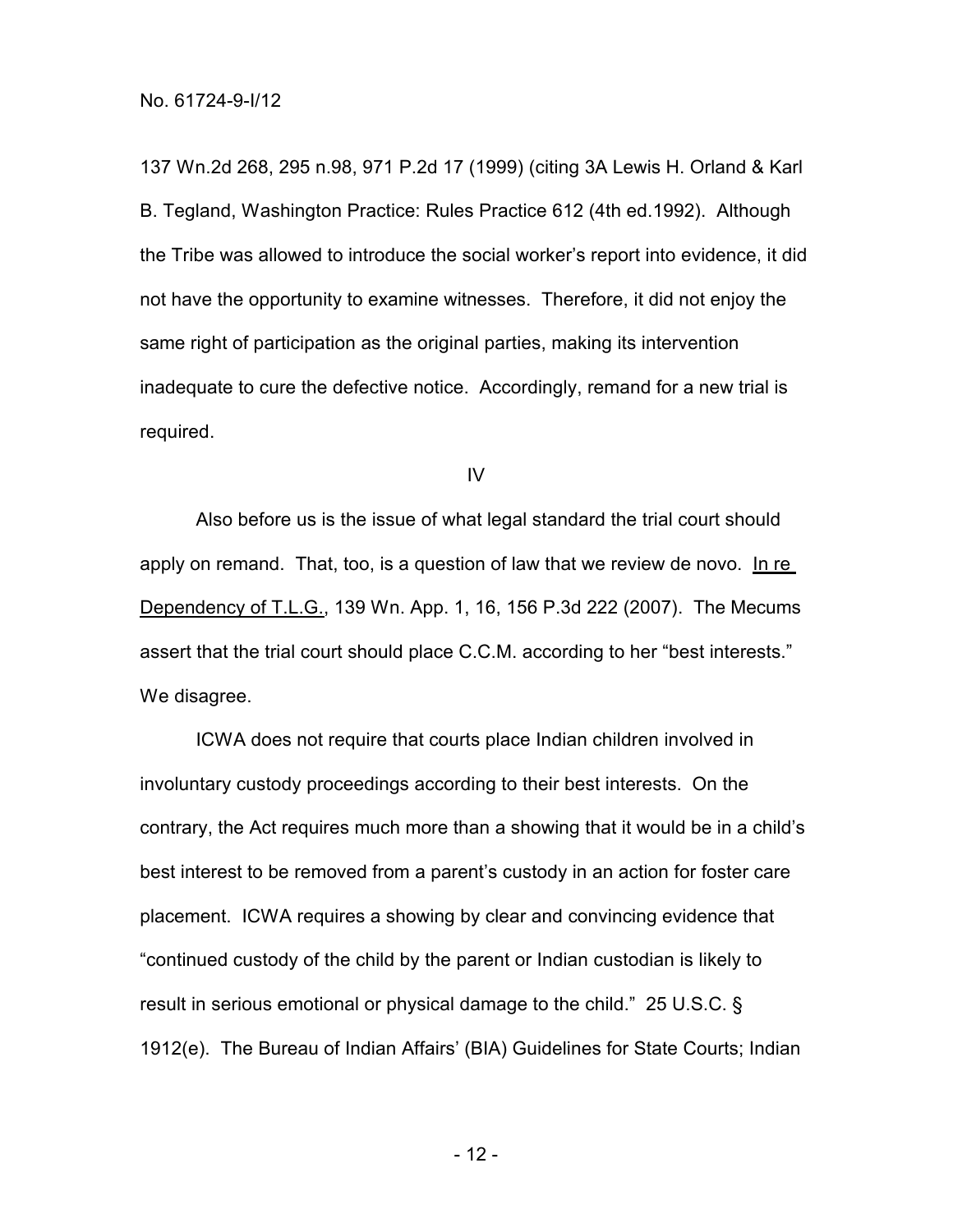137 Wn.2d 268, 295 n.98, 971 P.2d 17 (1999) (citing 3A Lewis H. Orland & Karl B. Tegland, Washington Practice: Rules Practice 612 (4th ed.1992). Although the Tribe was allowed to introduce the social worker's report into evidence, it did not have the opportunity to examine witnesses. Therefore, it did not enjoy the same right of participation as the original parties, making its intervention inadequate to cure the defective notice. Accordingly, remand for a new trial is required.

IV

Also before us is the issue of what legal standard the trial court should apply on remand. That, too, is a question of law that we review de novo. In re Dependency of T.L.G., 139 Wn. App. 1, 16, 156 P.3d 222 (2007). The Mecums assert that the trial court should place C.C.M. according to her "best interests." We disagree.

ICWA does not require that courts place Indian children involved in involuntary custody proceedings according to their best interests. On the contrary, the Act requires much more than a showing that it would be in a child's best interest to be removed from a parent's custody in an action for foster care placement. ICWA requires a showing by clear and convincing evidence that "continued custody of the child by the parent or Indian custodian is likely to result in serious emotional or physical damage to the child." 25 U.S.C. § 1912(e). The Bureau of Indian Affairs' (BIA) Guidelines for State Courts; Indian

- 12 -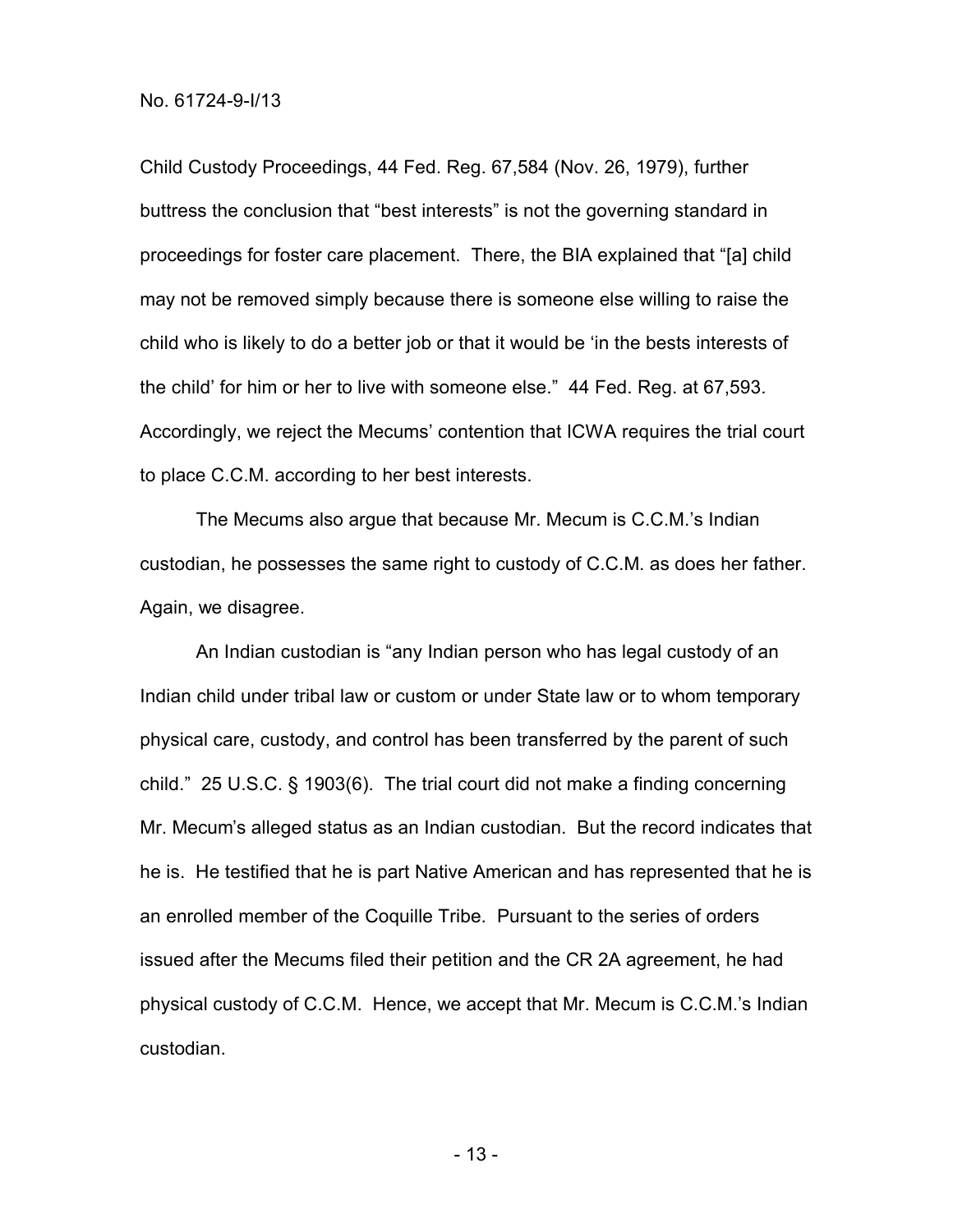Child Custody Proceedings, 44 Fed. Reg. 67,584 (Nov. 26, 1979), further buttress the conclusion that "best interests" is not the governing standard in proceedings for foster care placement. There, the BIA explained that "[a] child may not be removed simply because there is someone else willing to raise the child who is likely to do a better job or that it would be 'in the bests interests of the child' for him or her to live with someone else." 44 Fed. Reg. at 67,593. Accordingly, we reject the Mecums' contention that ICWA requires the trial court to place C.C.M. according to her best interests.

The Mecums also argue that because Mr. Mecum is C.C.M.'s Indian custodian, he possesses the same right to custody of C.C.M. as does her father. Again, we disagree.

An Indian custodian is "any Indian person who has legal custody of an Indian child under tribal law or custom or under State law or to whom temporary physical care, custody, and control has been transferred by the parent of such child." 25 U.S.C. § 1903(6). The trial court did not make a finding concerning Mr. Mecum's alleged status as an Indian custodian. But the record indicates that he is. He testified that he is part Native American and has represented that he is an enrolled member of the Coquille Tribe. Pursuant to the series of orders issued after the Mecums filed their petition and the CR 2A agreement, he had physical custody of C.C.M. Hence, we accept that Mr. Mecum is C.C.M.'s Indian custodian.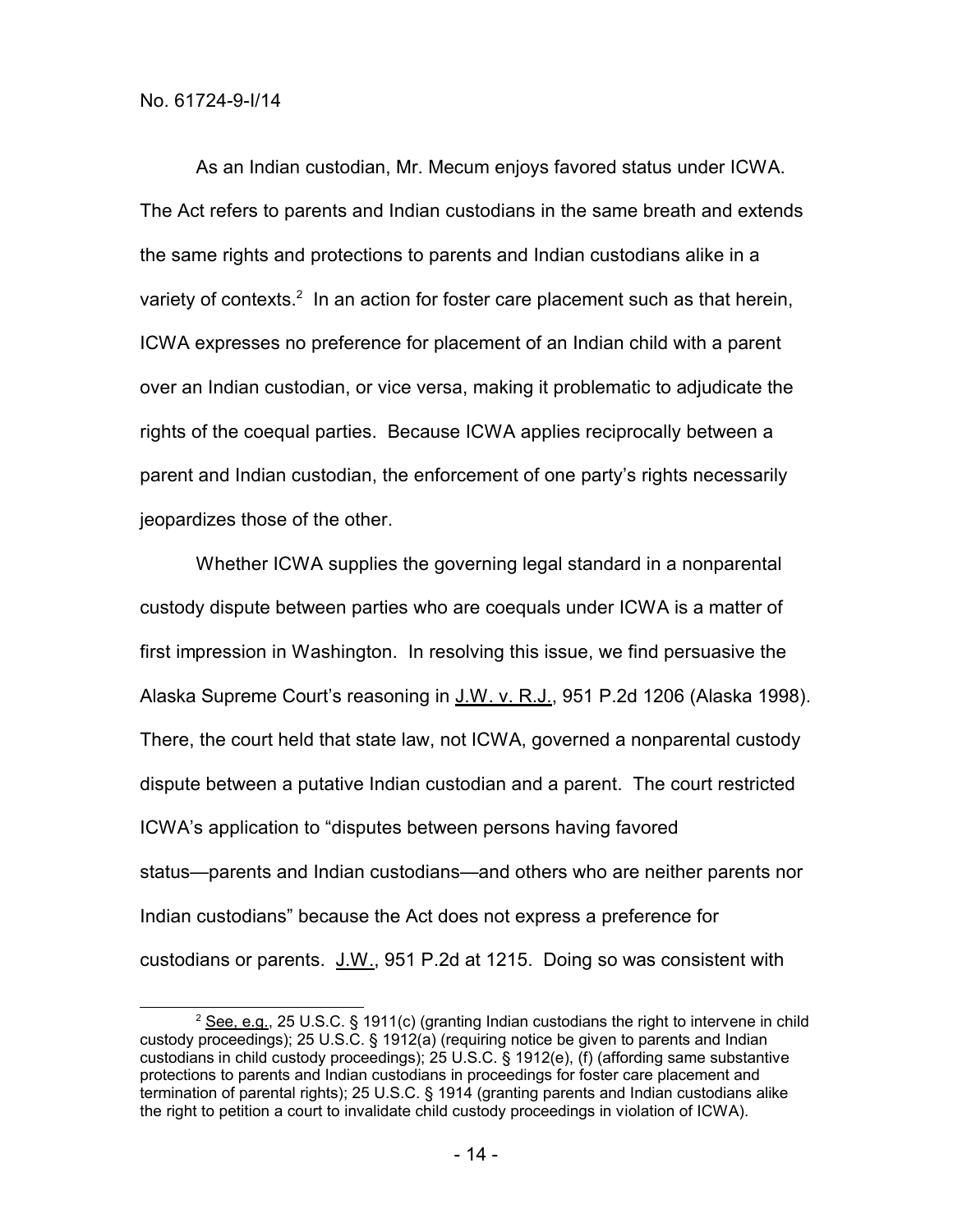As an Indian custodian, Mr. Mecum enjoys favored status under ICWA. The Act refers to parents and Indian custodians in the same breath and extends the same rights and protections to parents and Indian custodians alike in a variety of contexts.<sup>2</sup> In an action for foster care placement such as that herein, ICWA expresses no preference for placement of an Indian child with a parent over an Indian custodian, or vice versa, making it problematic to adjudicate the rights of the coequal parties. Because ICWA applies reciprocally between a parent and Indian custodian, the enforcement of one party's rights necessarily jeopardizes those of the other.

Whether ICWA supplies the governing legal standard in a nonparental custody dispute between parties who are coequals under ICWA is a matter of first impression in Washington. In resolving this issue, we find persuasive the Alaska Supreme Court's reasoning in J.W. v. R.J., 951 P.2d 1206 (Alaska 1998). There, the court held that state law, not ICWA, governed a nonparental custody dispute between a putative Indian custodian and a parent. The court restricted ICWA's application to "disputes between persons having favored status—parents and Indian custodians—and others who are neither parents nor Indian custodians" because the Act does not express a preference for custodians or parents. J.W., 951 P.2d at 1215. Doing so was consistent with

<sup>&</sup>lt;sup>2</sup> See, e.g., 25 U.S.C. § 1911(c) (granting Indian custodians the right to intervene in child custody proceedings); 25 U.S.C. § 1912(a) (requiring notice be given to parents and Indian custodians in child custody proceedings); 25 U.S.C. § 1912(e), (f) (affording same substantive protections to parents and Indian custodians in proceedings for foster care placement and termination of parental rights); 25 U.S.C. § 1914 (granting parents and Indian custodians alike the right to petition a court to invalidate child custody proceedings in violation of ICWA).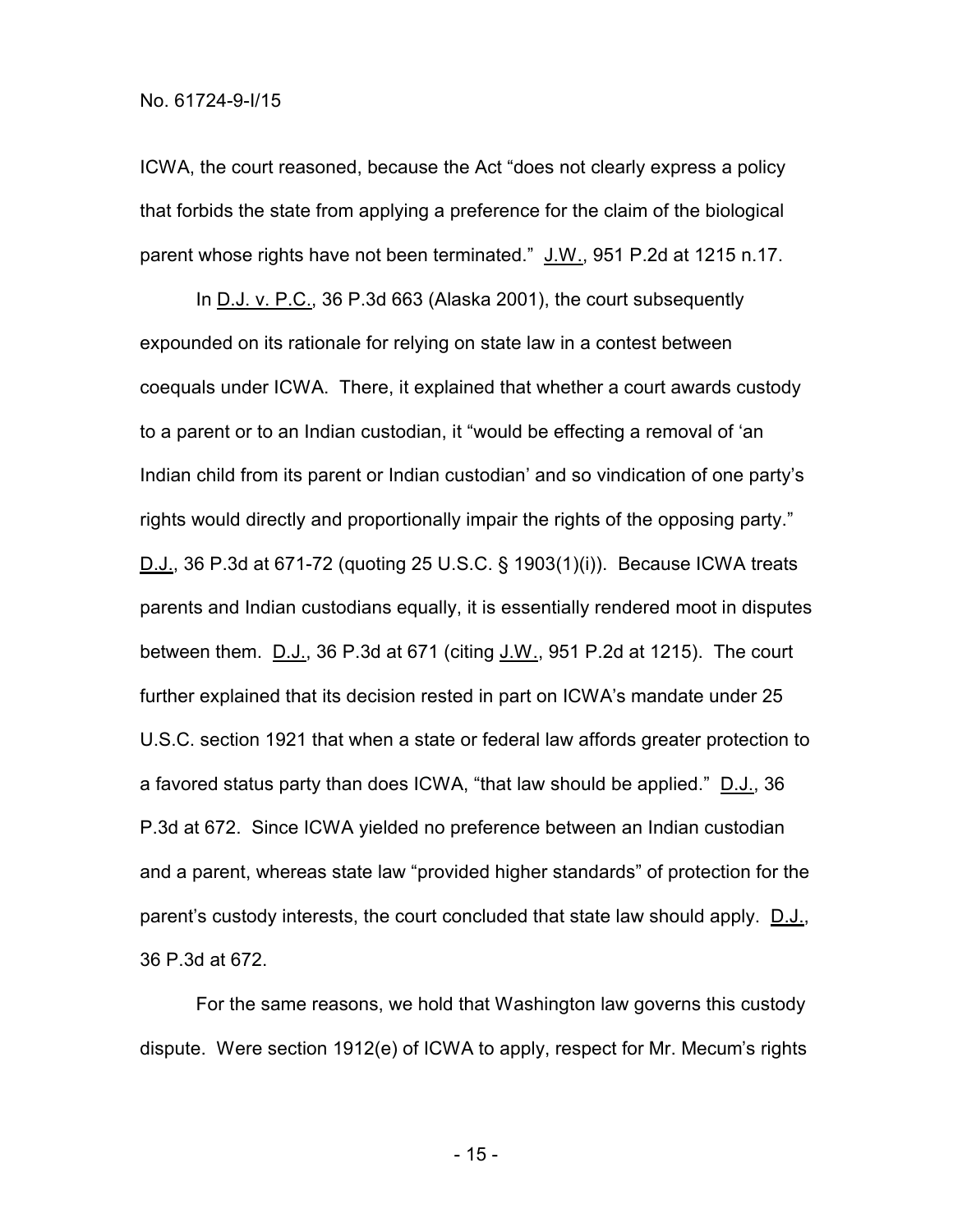ICWA, the court reasoned, because the Act "does not clearly express a policy that forbids the state from applying a preference for the claim of the biological parent whose rights have not been terminated." J.W., 951 P.2d at 1215 n.17.

In D.J. v. P.C., 36 P.3d 663 (Alaska 2001), the court subsequently expounded on its rationale for relying on state law in a contest between coequals under ICWA. There, it explained that whether a court awards custody to a parent or to an Indian custodian, it "would be effecting a removal of 'an Indian child from its parent or Indian custodian' and so vindication of one party's rights would directly and proportionally impair the rights of the opposing party." D.J., 36 P.3d at 671-72 (quoting 25 U.S.C. § 1903(1)(i)). Because ICWA treats parents and Indian custodians equally, it is essentially rendered moot in disputes between them.  $D.J.$ , 36 P.3d at 671 (citing  $J.M.$ , 951 P.2d at 1215). The court further explained that its decision rested in part on ICWA's mandate under 25 U.S.C. section 1921 that when a state or federal law affords greater protection to a favored status party than does ICWA, "that law should be applied." D.J., 36 P.3d at 672. Since ICWA yielded no preference between an Indian custodian and a parent, whereas state law "provided higher standards" of protection for the parent's custody interests, the court concluded that state law should apply. D.J., 36 P.3d at 672.

For the same reasons, we hold that Washington law governs this custody dispute. Were section 1912(e) of ICWA to apply, respect for Mr. Mecum's rights

- 15 -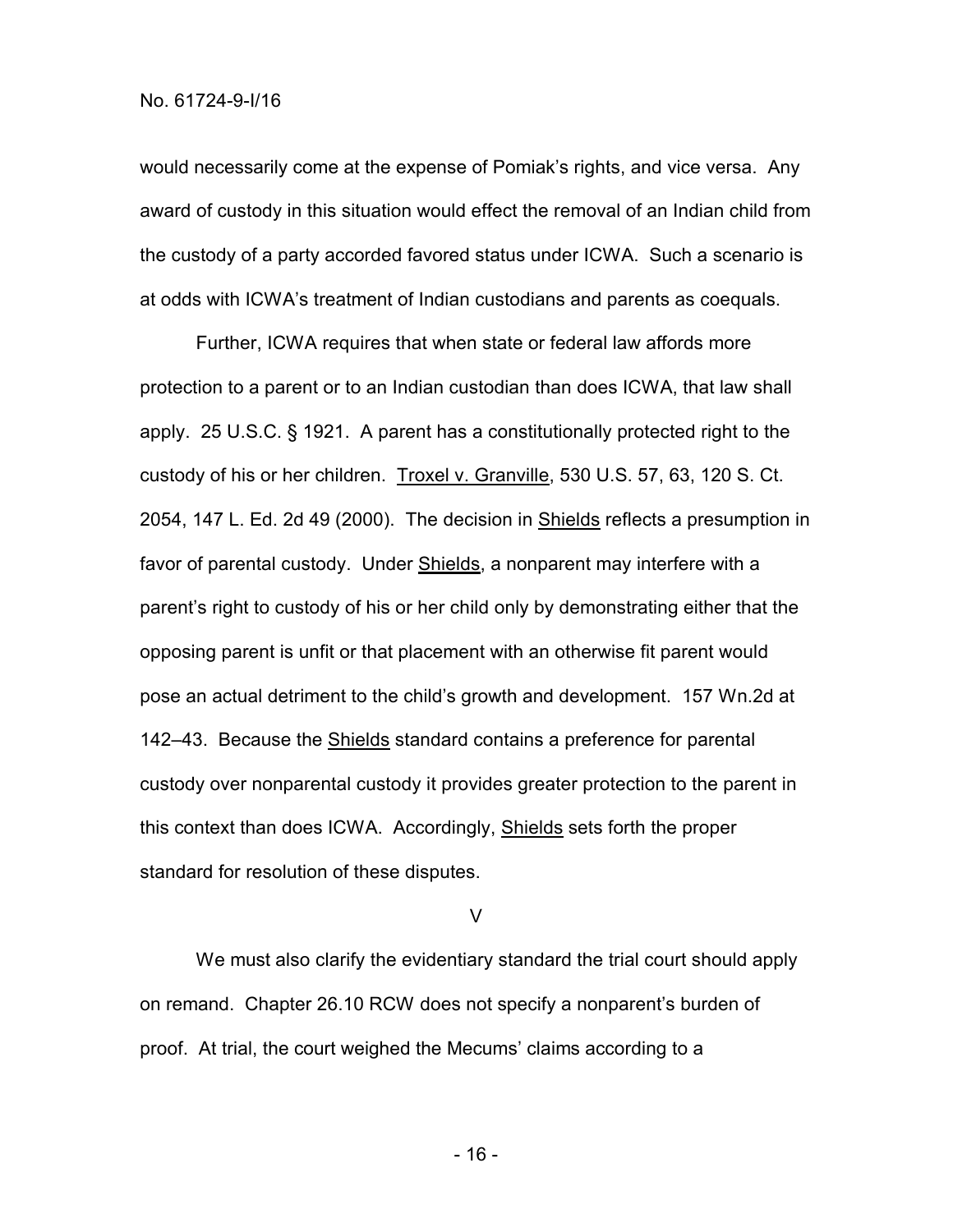would necessarily come at the expense of Pomiak's rights, and vice versa. Any award of custody in this situation would effect the removal of an Indian child from the custody of a party accorded favored status under ICWA. Such a scenario is at odds with ICWA's treatment of Indian custodians and parents as coequals.

Further, ICWA requires that when state or federal law affords more protection to a parent or to an Indian custodian than does ICWA, that law shall apply. 25 U.S.C. § 1921. A parent has a constitutionally protected right to the custody of his or her children. Troxel v. Granville, 530 U.S. 57, 63, 120 S. Ct. 2054, 147 L. Ed. 2d 49 (2000). The decision in Shields reflects a presumption in favor of parental custody. Under Shields, a nonparent may interfere with a parent's right to custody of his or her child only by demonstrating either that the opposing parent is unfit or that placement with an otherwise fit parent would pose an actual detriment to the child's growth and development. 157 Wn.2d at 142–43. Because the Shields standard contains a preference for parental custody over nonparental custody it provides greater protection to the parent in this context than does ICWA. Accordingly, Shields sets forth the proper standard for resolution of these disputes.

V

We must also clarify the evidentiary standard the trial court should apply on remand. Chapter 26.10 RCW does not specify a nonparent's burden of proof. At trial, the court weighed the Mecums' claims according to a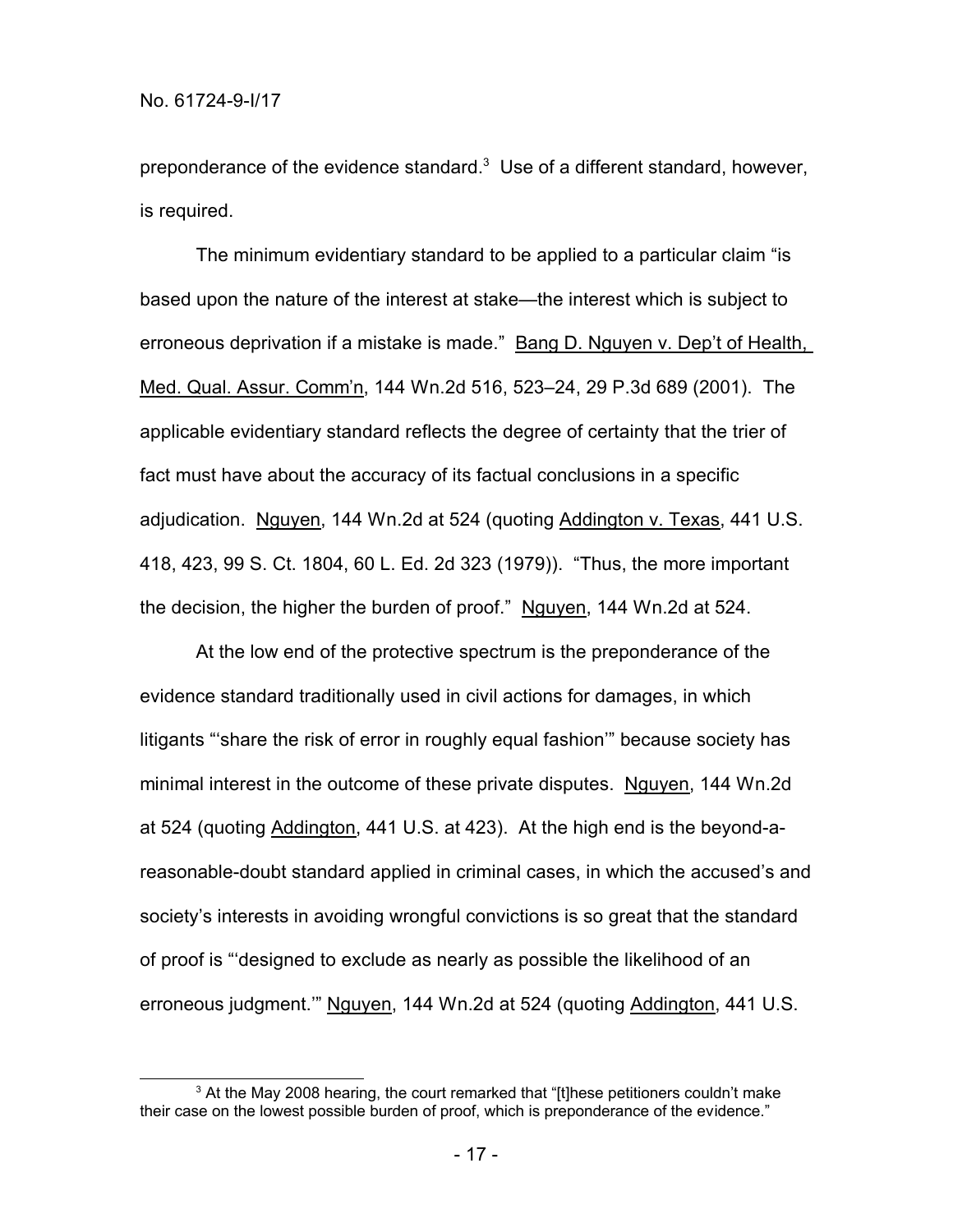preponderance of the evidence standard. $3$  Use of a different standard, however, is required.

The minimum evidentiary standard to be applied to a particular claim "is based upon the nature of the interest at stake—the interest which is subject to erroneous deprivation if a mistake is made." Bang D. Nguyen v. Dep't of Health, Med. Qual. Assur. Comm'n, 144 Wn.2d 516, 523–24, 29 P.3d 689 (2001). The applicable evidentiary standard reflects the degree of certainty that the trier of fact must have about the accuracy of its factual conclusions in a specific adjudication. Nguyen, 144 Wn.2d at 524 (quoting Addington v. Texas, 441 U.S. 418, 423, 99 S. Ct. 1804, 60 L. Ed. 2d 323 (1979)). "Thus, the more important the decision, the higher the burden of proof." Nguyen, 144 Wn.2d at 524.

At the low end of the protective spectrum is the preponderance of the evidence standard traditionally used in civil actions for damages, in which litigants "'share the risk of error in roughly equal fashion'" because society has minimal interest in the outcome of these private disputes. Nguyen, 144 Wn.2d at 524 (quoting Addington, 441 U.S. at 423). At the high end is the beyond-areasonable-doubt standard applied in criminal cases, in which the accused's and society's interests in avoiding wrongful convictions is so great that the standard of proof is "'designed to exclude as nearly as possible the likelihood of an erroneous judgment." Nguyen, 144 Wn.2d at 524 (quoting Addington, 441 U.S.

 $3$  At the May 2008 hearing, the court remarked that "[t]hese petitioners couldn't make their case on the lowest possible burden of proof, which is preponderance of the evidence."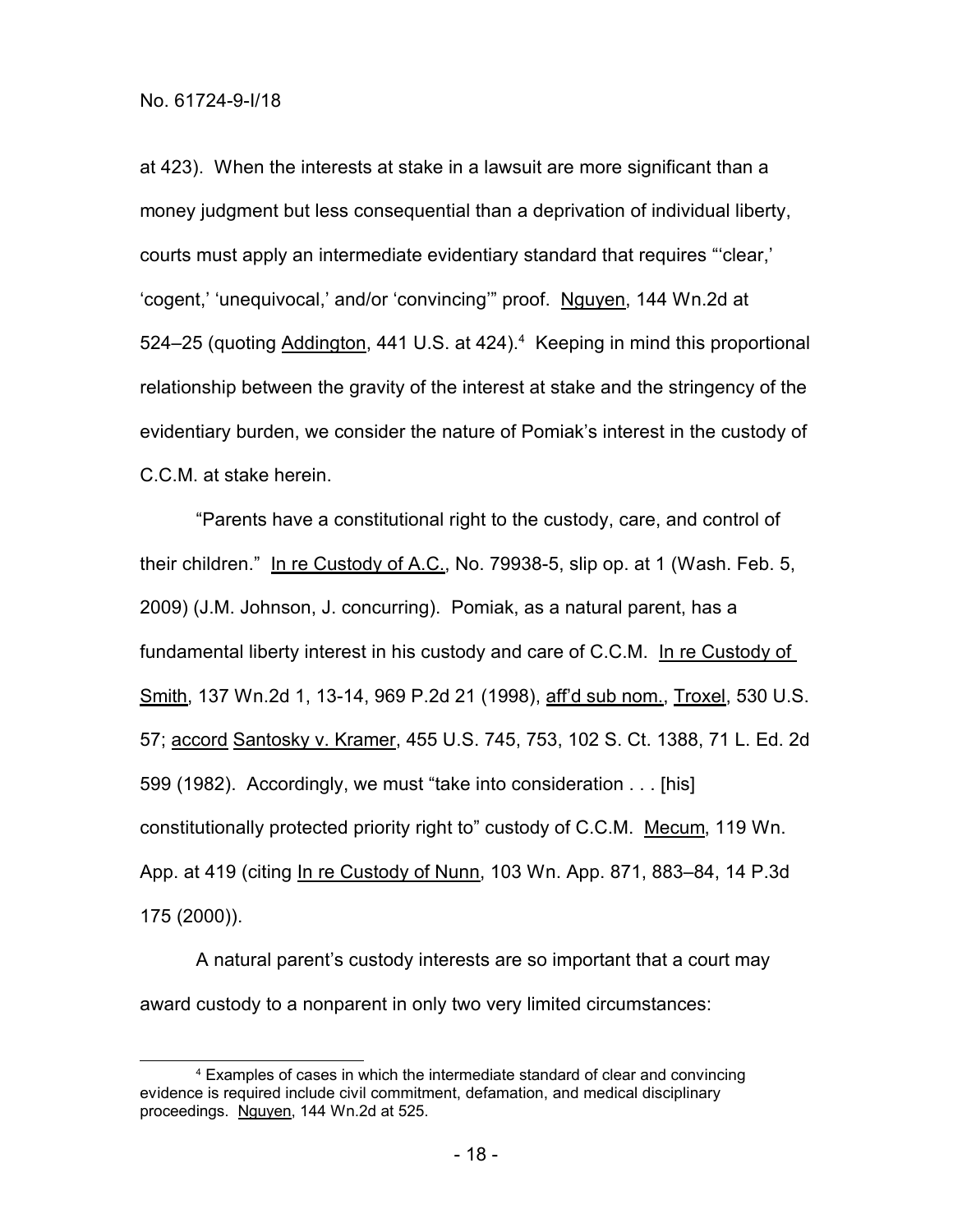at 423). When the interests at stake in a lawsuit are more significant than a money judgment but less consequential than a deprivation of individual liberty, courts must apply an intermediate evidentiary standard that requires "'clear,' 'cogent,' 'unequivocal,' and/or 'convincing'" proof. Nguyen, 144 Wn.2d at 524–25 (quoting Addington, 441 U.S. at  $424$ ).<sup>4</sup> Keeping in mind this proportional relationship between the gravity of the interest at stake and the stringency of the evidentiary burden, we consider the nature of Pomiak's interest in the custody of C.C.M. at stake herein.

"Parents have a constitutional right to the custody, care, and control of their children." In re Custody of A.C., No. 79938-5, slip op. at 1 (Wash. Feb. 5, 2009) (J.M. Johnson, J. concurring). Pomiak, as a natural parent, has a fundamental liberty interest in his custody and care of C.C.M. In re Custody of Smith, 137 Wn.2d 1, 13-14, 969 P.2d 21 (1998), aff'd sub nom., Troxel, 530 U.S. 57; accord Santosky v. Kramer, 455 U.S. 745, 753, 102 S. Ct. 1388, 71 L. Ed. 2d 599 (1982). Accordingly, we must "take into consideration . . . [his] constitutionally protected priority right to" custody of C.C.M. Mecum, 119 Wn. App. at 419 (citing In re Custody of Nunn, 103 Wn. App. 871, 883-84, 14 P.3d 175 (2000)).

A natural parent's custody interests are so important that a court may award custody to a nonparent in only two very limited circumstances:

<sup>4</sup> Examples of cases in which the intermediate standard of clear and convincing evidence is required include civil commitment, defamation, and medical disciplinary proceedings. Nguyen, 144 Wn.2d at 525.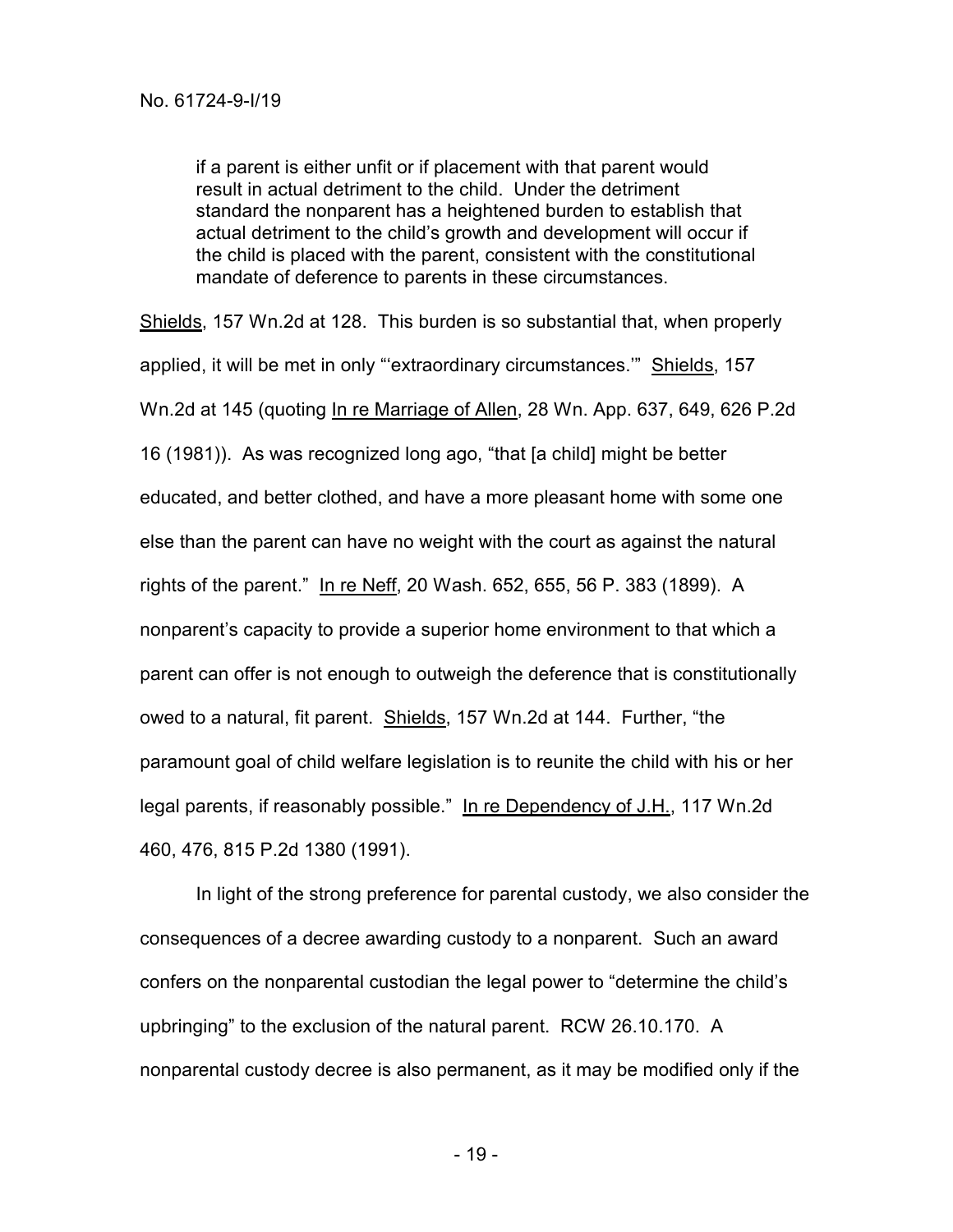if a parent is either unfit or if placement with that parent would result in actual detriment to the child. Under the detriment standard the nonparent has a heightened burden to establish that actual detriment to the child's growth and development will occur if the child is placed with the parent, consistent with the constitutional mandate of deference to parents in these circumstances.

Shields, 157 Wn.2d at 128. This burden is so substantial that, when properly applied, it will be met in only "extraordinary circumstances." Shields, 157 Wn.2d at 145 (quoting In re Marriage of Allen, 28 Wn. App. 637, 649, 626 P.2d 16 (1981)). As was recognized long ago, "that [a child] might be better educated, and better clothed, and have a more pleasant home with some one else than the parent can have no weight with the court as against the natural rights of the parent." In re Neff, 20 Wash. 652, 655, 56 P. 383 (1899). A nonparent's capacity to provide a superior home environment to that which a parent can offer is not enough to outweigh the deference that is constitutionally owed to a natural, fit parent. Shields, 157 Wn.2d at 144. Further, "the paramount goal of child welfare legislation is to reunite the child with his or her legal parents, if reasonably possible." In re Dependency of J.H., 117 Wn.2d 460, 476, 815 P.2d 1380 (1991).

In light of the strong preference for parental custody, we also consider the consequences of a decree awarding custody to a nonparent. Such an award confers on the nonparental custodian the legal power to "determine the child's upbringing" to the exclusion of the natural parent. RCW 26.10.170. A nonparental custody decree is also permanent, as it may be modified only if the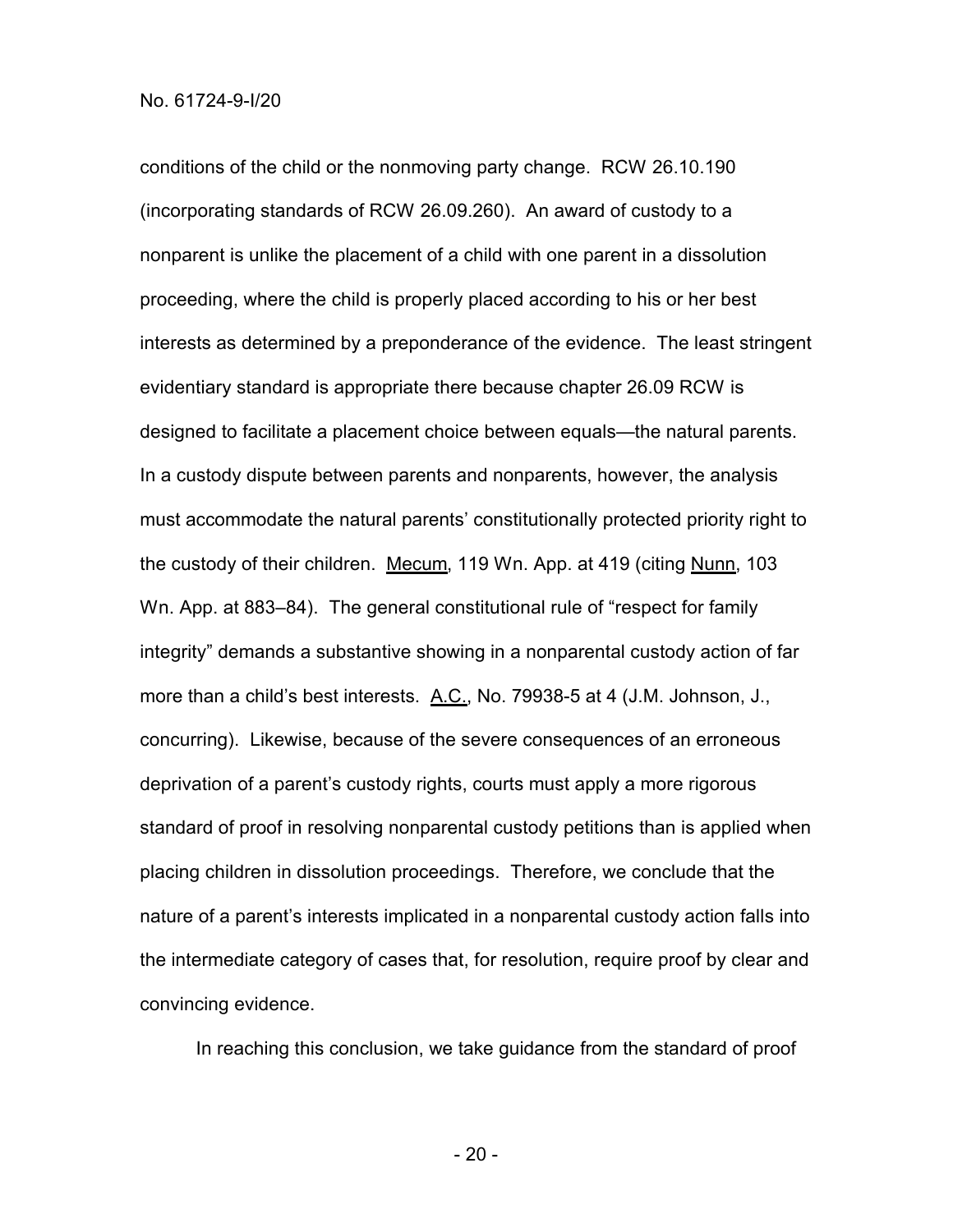conditions of the child or the nonmoving party change. RCW 26.10.190 (incorporating standards of RCW 26.09.260). An award of custody to a nonparent is unlike the placement of a child with one parent in a dissolution proceeding, where the child is properly placed according to his or her best interests as determined by a preponderance of the evidence. The least stringent evidentiary standard is appropriate there because chapter 26.09 RCW is designed to facilitate a placement choice between equals—the natural parents. In a custody dispute between parents and nonparents, however, the analysis must accommodate the natural parents' constitutionally protected priority right to the custody of their children. Mecum, 119 Wn. App. at 419 (citing Nunn, 103 Wn. App. at 883–84). The general constitutional rule of "respect for family integrity" demands a substantive showing in a nonparental custody action of far more than a child's best interests. A.C., No. 79938-5 at 4 (J.M. Johnson, J., concurring). Likewise, because of the severe consequences of an erroneous deprivation of a parent's custody rights, courts must apply a more rigorous standard of proof in resolving nonparental custody petitions than is applied when placing children in dissolution proceedings. Therefore, we conclude that the nature of a parent's interests implicated in a nonparental custody action falls into the intermediate category of cases that, for resolution, require proof by clear and convincing evidence.

In reaching this conclusion, we take guidance from the standard of proof

- 20 -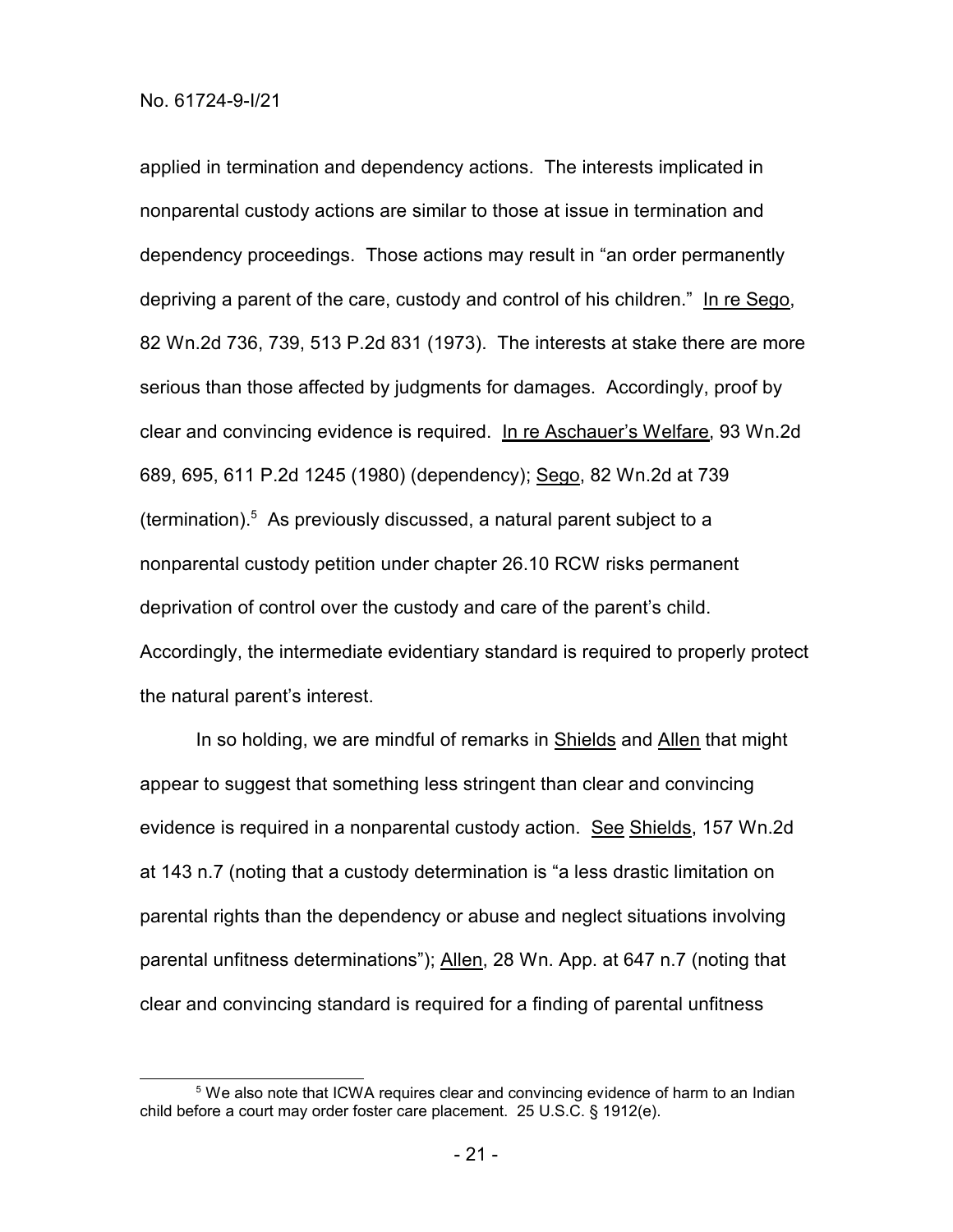applied in termination and dependency actions. The interests implicated in nonparental custody actions are similar to those at issue in termination and dependency proceedings. Those actions may result in "an order permanently depriving a parent of the care, custody and control of his children." In re Sego, 82 Wn.2d 736, 739, 513 P.2d 831 (1973). The interests at stake there are more serious than those affected by judgments for damages. Accordingly, proof by clear and convincing evidence is required. In re Aschauer's Welfare, 93 Wn.2d 689, 695, 611 P.2d 1245 (1980) (dependency); Sego, 82 Wn.2d at 739 (termination). <sup>5</sup> As previously discussed, a natural parent subject to a nonparental custody petition under chapter 26.10 RCW risks permanent deprivation of control over the custody and care of the parent's child. Accordingly, the intermediate evidentiary standard is required to properly protect the natural parent's interest.

In so holding, we are mindful of remarks in Shields and Allen that might appear to suggest that something less stringent than clear and convincing evidence is required in a nonparental custody action. See Shields, 157 Wn.2d at 143 n.7 (noting that a custody determination is "a less drastic limitation on parental rights than the dependency or abuse and neglect situations involving parental unfitness determinations"); Allen, 28 Wn. App. at 647 n.7 (noting that clear and convincing standard is required for a finding of parental unfitness

<sup>&</sup>lt;sup>5</sup> We also note that ICWA requires clear and convincing evidence of harm to an Indian child before a court may order foster care placement. 25 U.S.C. § 1912(e).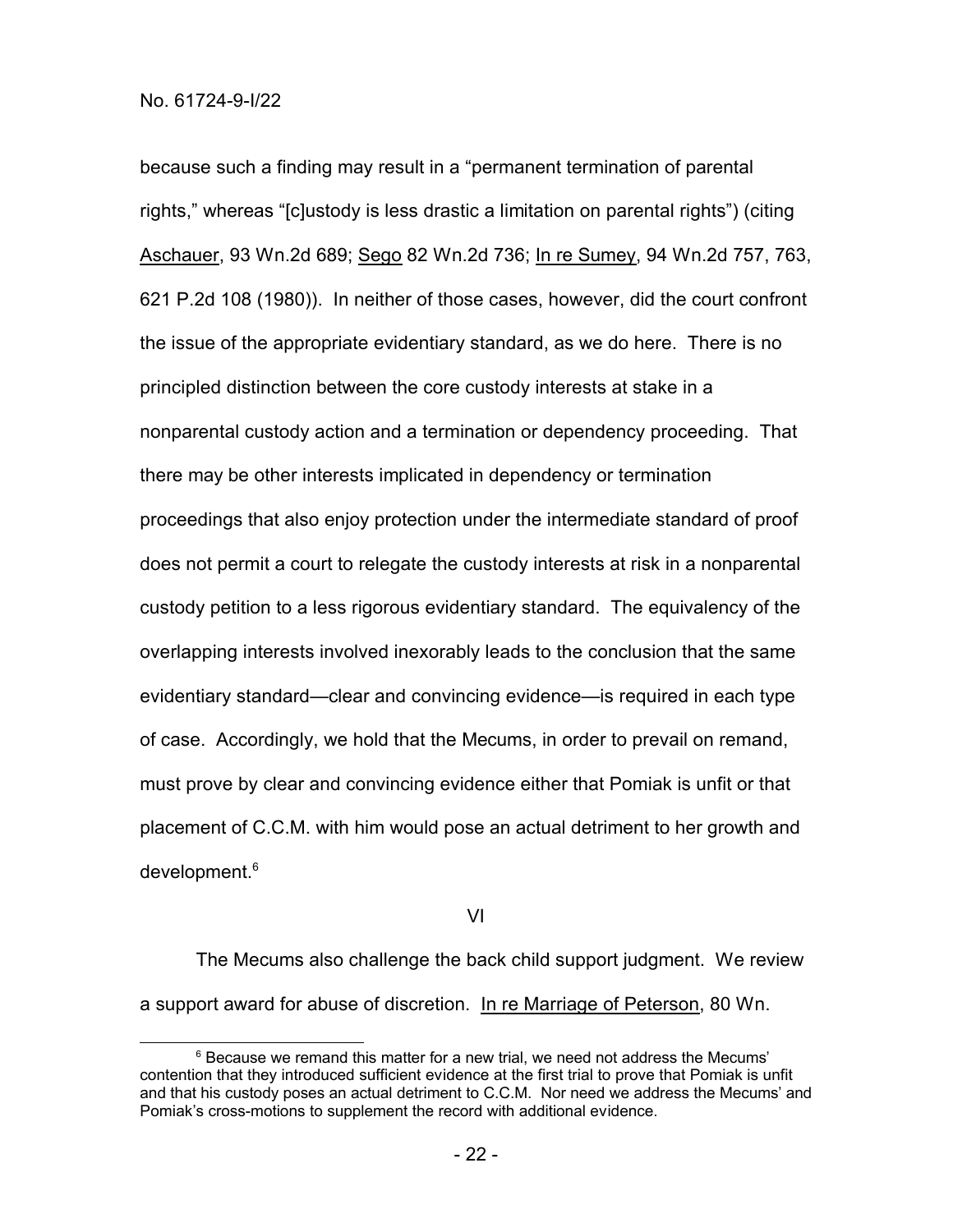because such a finding may result in a "permanent termination of parental rights," whereas "[c]ustody is less drastic a limitation on parental rights") (citing Aschauer, 93 Wn.2d 689; Sego 82 Wn.2d 736; In re Sumey, 94 Wn.2d 757, 763, 621 P.2d 108 (1980)). In neither of those cases, however, did the court confront the issue of the appropriate evidentiary standard, as we do here. There is no principled distinction between the core custody interests at stake in a nonparental custody action and a termination or dependency proceeding. That there may be other interests implicated in dependency or termination proceedings that also enjoy protection under the intermediate standard of proof does not permit a court to relegate the custody interests at risk in a nonparental custody petition to a less rigorous evidentiary standard. The equivalency of the overlapping interests involved inexorably leads to the conclusion that the same evidentiary standard—clear and convincing evidence—is required in each type of case. Accordingly, we hold that the Mecums, in order to prevail on remand, must prove by clear and convincing evidence either that Pomiak is unfit or that placement of C.C.M. with him would pose an actual detriment to her growth and development.<sup>6</sup>

VI

The Mecums also challenge the back child support judgment. We review a support award for abuse of discretion. In re Marriage of Peterson, 80 Wn.

 $6$  Because we remand this matter for a new trial, we need not address the Mecums' contention that they introduced sufficient evidence at the first trial to prove that Pomiak is unfit and that his custody poses an actual detriment to C.C.M. Nor need we address the Mecums' and Pomiak's cross-motions to supplement the record with additional evidence.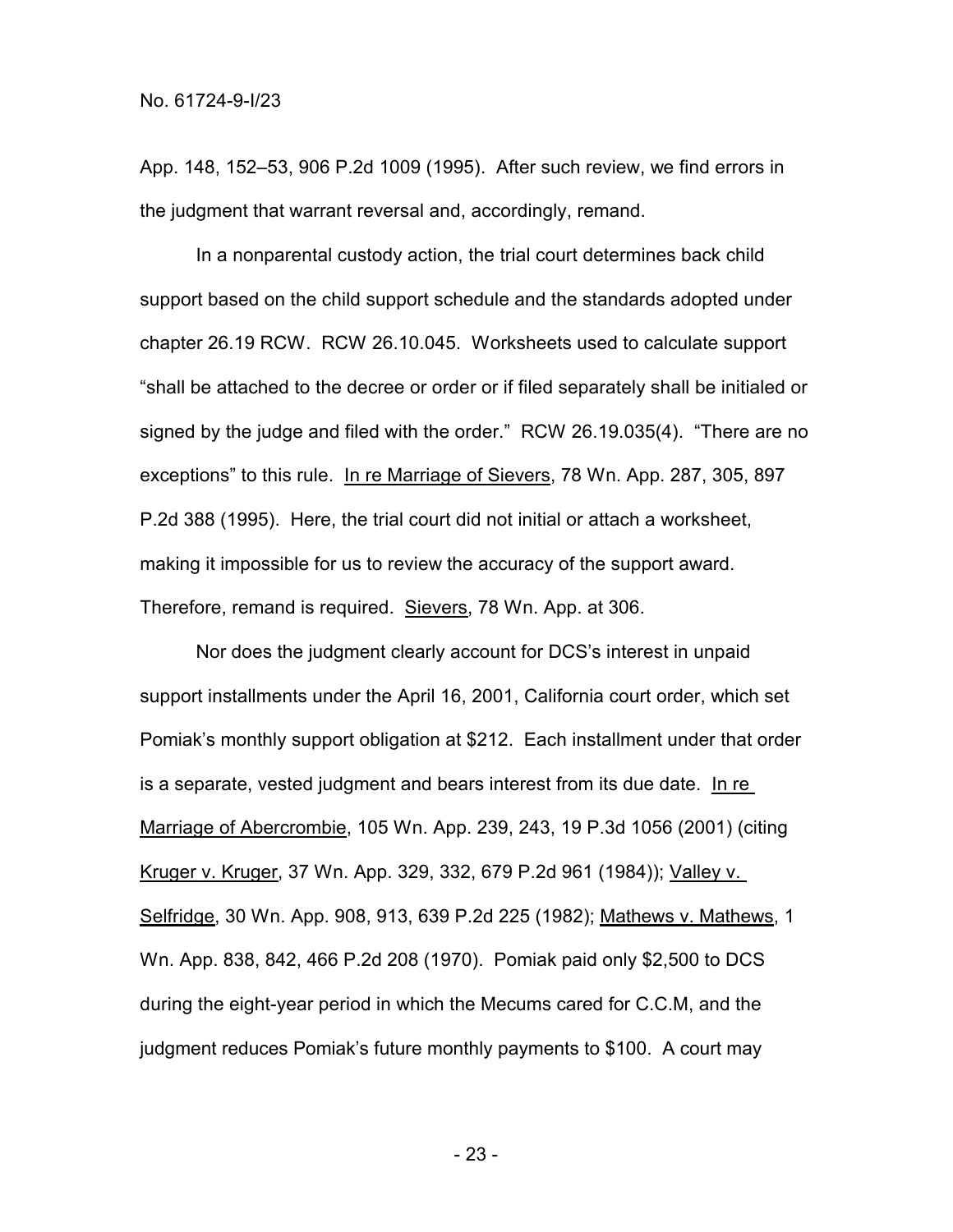App. 148, 152–53, 906 P.2d 1009 (1995). After such review, we find errors in the judgment that warrant reversal and, accordingly, remand.

In a nonparental custody action, the trial court determines back child support based on the child support schedule and the standards adopted under chapter 26.19 RCW. RCW 26.10.045. Worksheets used to calculate support "shall be attached to the decree or order or if filed separately shall be initialed or signed by the judge and filed with the order." RCW 26.19.035(4). "There are no exceptions" to this rule. In re Marriage of Sievers, 78 Wn. App. 287, 305, 897 P.2d 388 (1995). Here, the trial court did not initial or attach a worksheet, making it impossible for us to review the accuracy of the support award. Therefore, remand is required. Sievers, 78 Wn. App. at 306.

Nor does the judgment clearly account for DCS's interest in unpaid support installments under the April 16, 2001, California court order, which set Pomiak's monthly support obligation at \$212. Each installment under that order is a separate, vested judgment and bears interest from its due date. In re Marriage of Abercrombie, 105 Wn. App. 239, 243, 19 P.3d 1056 (2001) (citing Kruger v. Kruger, 37 Wn. App. 329, 332, 679 P.2d 961 (1984)); Valley v. Selfridge, 30 Wn. App. 908, 913, 639 P.2d 225 (1982); Mathews v. Mathews, 1 Wn. App. 838, 842, 466 P.2d 208 (1970). Pomiak paid only \$2,500 to DCS during the eight-year period in which the Mecums cared for C.C.M, and the judgment reduces Pomiak's future monthly payments to \$100. A court may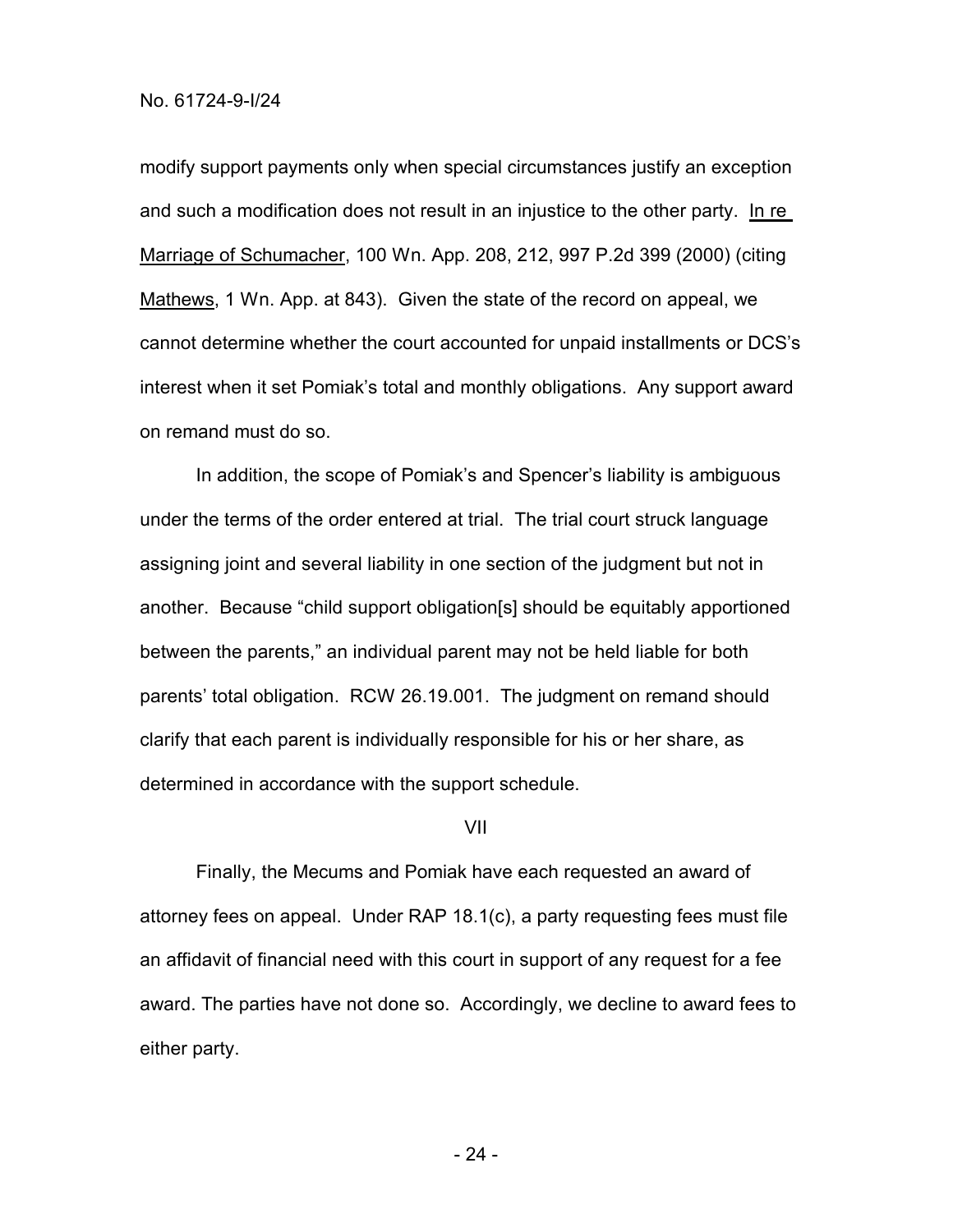modify support payments only when special circumstances justify an exception and such a modification does not result in an injustice to the other party. In re Marriage of Schumacher, 100 Wn. App. 208, 212, 997 P.2d 399 (2000) (citing Mathews, 1 Wn. App. at 843). Given the state of the record on appeal, we cannot determine whether the court accounted for unpaid installments or DCS's interest when it set Pomiak's total and monthly obligations. Any support award on remand must do so.

In addition, the scope of Pomiak's and Spencer's liability is ambiguous under the terms of the order entered at trial. The trial court struck language assigning joint and several liability in one section of the judgment but not in another. Because "child support obligation[s] should be equitably apportioned between the parents," an individual parent may not be held liable for both parents' total obligation. RCW 26.19.001. The judgment on remand should clarify that each parent is individually responsible for his or her share, as determined in accordance with the support schedule.

## VII

Finally, the Mecums and Pomiak have each requested an award of attorney fees on appeal. Under RAP 18.1(c), a party requesting fees must file an affidavit of financial need with this court in support of any request for a fee award. The parties have not done so. Accordingly, we decline to award fees to either party.